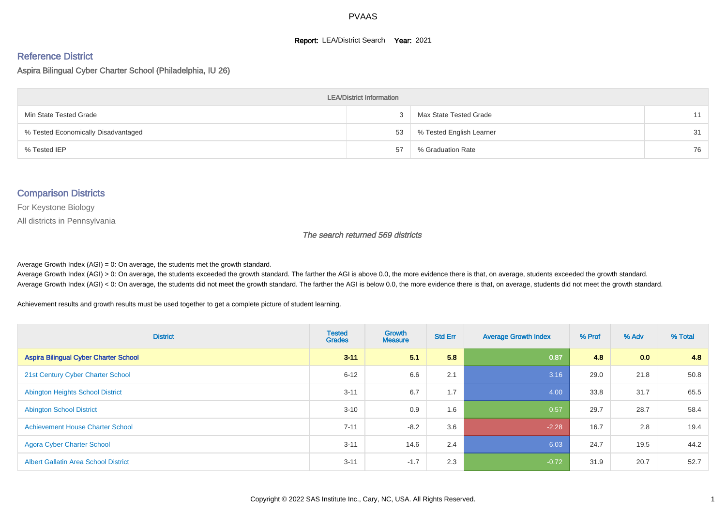#### **Report: LEA/District Search Year: 2021**

# Reference District

Aspira Bilingual Cyber Charter School (Philadelphia, IU 26)

| <b>LEA/District Information</b>     |    |                          |    |  |  |  |  |  |  |  |
|-------------------------------------|----|--------------------------|----|--|--|--|--|--|--|--|
| Min State Tested Grade              |    | Max State Tested Grade   | 11 |  |  |  |  |  |  |  |
| % Tested Economically Disadvantaged | 53 | % Tested English Learner | 31 |  |  |  |  |  |  |  |
| % Tested IEP                        | 57 | % Graduation Rate        | 76 |  |  |  |  |  |  |  |

#### Comparison Districts

For Keystone Biology

All districts in Pennsylvania

The search returned 569 districts

Average Growth Index  $(AGI) = 0$ : On average, the students met the growth standard.

Average Growth Index (AGI) > 0: On average, the students exceeded the growth standard. The farther the AGI is above 0.0, the more evidence there is that, on average, students exceeded the growth standard. Average Growth Index (AGI) < 0: On average, the students did not meet the growth standard. The farther the AGI is below 0.0, the more evidence there is that, on average, students did not meet the growth standard.

Achievement results and growth results must be used together to get a complete picture of student learning.

| <b>District</b>                              | <b>Tested</b><br><b>Grades</b> | Growth<br><b>Measure</b> | <b>Std Err</b> | <b>Average Growth Index</b> | % Prof | % Adv            | % Total |
|----------------------------------------------|--------------------------------|--------------------------|----------------|-----------------------------|--------|------------------|---------|
| <b>Aspira Bilingual Cyber Charter School</b> | $3 - 11$                       | 5.1                      | 5.8            | 0.87                        | 4.8    | 0.0 <sub>1</sub> | 4.8     |
| 21st Century Cyber Charter School            | $6 - 12$                       | 6.6                      | 2.1            | 3.16                        | 29.0   | 21.8             | 50.8    |
| <b>Abington Heights School District</b>      | $3 - 11$                       | 6.7                      | 1.7            | 4.00                        | 33.8   | 31.7             | 65.5    |
| <b>Abington School District</b>              | $3 - 10$                       | 0.9                      | 1.6            | 0.57                        | 29.7   | 28.7             | 58.4    |
| <b>Achievement House Charter School</b>      | $7 - 11$                       | $-8.2$                   | 3.6            | $-2.28$                     | 16.7   | 2.8              | 19.4    |
| <b>Agora Cyber Charter School</b>            | $3 - 11$                       | 14.6                     | 2.4            | 6.03                        | 24.7   | 19.5             | 44.2    |
| <b>Albert Gallatin Area School District</b>  | $3 - 11$                       | $-1.7$                   | 2.3            | $-0.72$                     | 31.9   | 20.7             | 52.7    |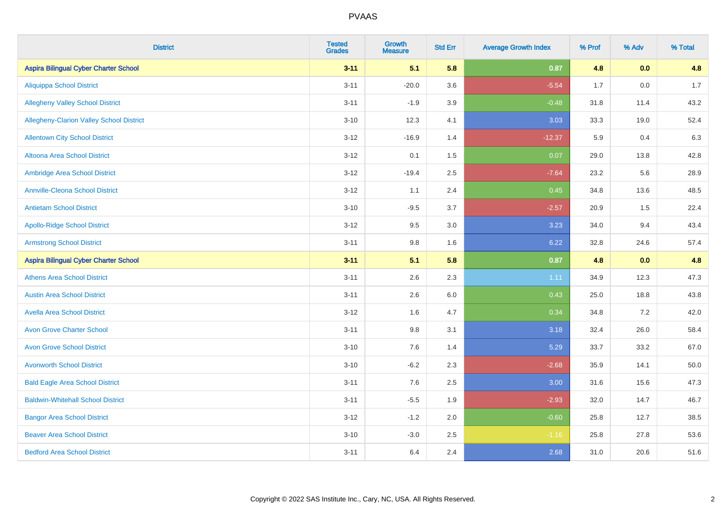| <b>District</b>                              | <b>Tested</b><br><b>Grades</b> | <b>Growth</b><br><b>Measure</b> | <b>Std Err</b> | <b>Average Growth Index</b> | % Prof | % Adv | % Total |
|----------------------------------------------|--------------------------------|---------------------------------|----------------|-----------------------------|--------|-------|---------|
| <b>Aspira Bilingual Cyber Charter School</b> | $3 - 11$                       | 5.1                             | 5.8            | 0.87                        | 4.8    | 0.0   | 4.8     |
| <b>Aliquippa School District</b>             | $3 - 11$                       | $-20.0$                         | 3.6            | $-5.54$                     | 1.7    | 0.0   | 1.7     |
| <b>Allegheny Valley School District</b>      | $3 - 11$                       | $-1.9$                          | 3.9            | $-0.48$                     | 31.8   | 11.4  | 43.2    |
| Allegheny-Clarion Valley School District     | $3 - 10$                       | 12.3                            | 4.1            | 3.03                        | 33.3   | 19.0  | 52.4    |
| <b>Allentown City School District</b>        | $3 - 12$                       | $-16.9$                         | 1.4            | $-12.37$                    | 5.9    | 0.4   | 6.3     |
| <b>Altoona Area School District</b>          | $3 - 12$                       | 0.1                             | 1.5            | 0.07                        | 29.0   | 13.8  | 42.8    |
| Ambridge Area School District                | $3 - 12$                       | $-19.4$                         | 2.5            | $-7.64$                     | 23.2   | 5.6   | 28.9    |
| <b>Annville-Cleona School District</b>       | $3 - 12$                       | 1.1                             | 2.4            | 0.45                        | 34.8   | 13.6  | 48.5    |
| <b>Antietam School District</b>              | $3 - 10$                       | $-9.5$                          | 3.7            | $-2.57$                     | 20.9   | 1.5   | 22.4    |
| <b>Apollo-Ridge School District</b>          | $3 - 12$                       | 9.5                             | 3.0            | 3.23                        | 34.0   | 9.4   | 43.4    |
| <b>Armstrong School District</b>             | $3 - 11$                       | $9.8\,$                         | 1.6            | 6.22                        | 32.8   | 24.6  | 57.4    |
| <b>Aspira Bilingual Cyber Charter School</b> | $3 - 11$                       | 5.1                             | 5.8            | 0.87                        | 4.8    | 0.0   | 4.8     |
| <b>Athens Area School District</b>           | $3 - 11$                       | 2.6                             | 2.3            | 1.11                        | 34.9   | 12.3  | 47.3    |
| <b>Austin Area School District</b>           | $3 - 11$                       | 2.6                             | 6.0            | 0.43                        | 25.0   | 18.8  | 43.8    |
| <b>Avella Area School District</b>           | $3 - 12$                       | 1.6                             | 4.7            | 0.34                        | 34.8   | 7.2   | 42.0    |
| <b>Avon Grove Charter School</b>             | $3 - 11$                       | 9.8                             | 3.1            | 3.18                        | 32.4   | 26.0  | 58.4    |
| <b>Avon Grove School District</b>            | $3 - 10$                       | 7.6                             | 1.4            | 5.29                        | 33.7   | 33.2  | 67.0    |
| <b>Avonworth School District</b>             | $3 - 10$                       | $-6.2$                          | 2.3            | $-2.68$                     | 35.9   | 14.1  | 50.0    |
| <b>Bald Eagle Area School District</b>       | $3 - 11$                       | 7.6                             | 2.5            | 3.00                        | 31.6   | 15.6  | 47.3    |
| <b>Baldwin-Whitehall School District</b>     | $3 - 11$                       | $-5.5$                          | 1.9            | $-2.93$                     | 32.0   | 14.7  | 46.7    |
| <b>Bangor Area School District</b>           | $3 - 12$                       | $-1.2$                          | 2.0            | $-0.60$                     | 25.8   | 12.7  | 38.5    |
| <b>Beaver Area School District</b>           | $3 - 10$                       | $-3.0$                          | 2.5            | $-1.16$                     | 25.8   | 27.8  | 53.6    |
| <b>Bedford Area School District</b>          | $3 - 11$                       | 6.4                             | 2.4            | 2.68                        | 31.0   | 20.6  | 51.6    |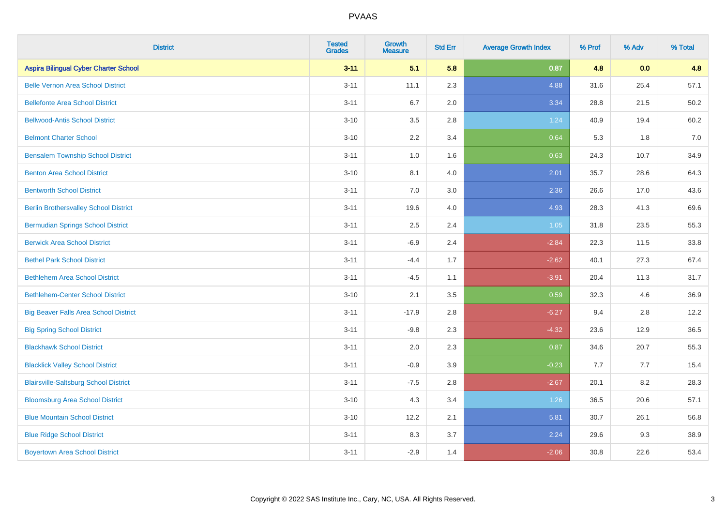| <b>District</b>                              | <b>Tested</b><br><b>Grades</b> | Growth<br><b>Measure</b> | <b>Std Err</b> | <b>Average Growth Index</b> | % Prof | % Adv | % Total |
|----------------------------------------------|--------------------------------|--------------------------|----------------|-----------------------------|--------|-------|---------|
| <b>Aspira Bilingual Cyber Charter School</b> | $3 - 11$                       | 5.1                      | 5.8            | 0.87                        | 4.8    | 0.0   | 4.8     |
| <b>Belle Vernon Area School District</b>     | $3 - 11$                       | 11.1                     | 2.3            | 4.88                        | 31.6   | 25.4  | 57.1    |
| <b>Bellefonte Area School District</b>       | $3 - 11$                       | 6.7                      | 2.0            | 3.34                        | 28.8   | 21.5  | 50.2    |
| <b>Bellwood-Antis School District</b>        | $3 - 10$                       | 3.5                      | 2.8            | 1.24                        | 40.9   | 19.4  | 60.2    |
| <b>Belmont Charter School</b>                | $3 - 10$                       | 2.2                      | 3.4            | 0.64                        | 5.3    | 1.8   | 7.0     |
| <b>Bensalem Township School District</b>     | $3 - 11$                       | 1.0                      | 1.6            | 0.63                        | 24.3   | 10.7  | 34.9    |
| <b>Benton Area School District</b>           | $3 - 10$                       | 8.1                      | 4.0            | 2.01                        | 35.7   | 28.6  | 64.3    |
| <b>Bentworth School District</b>             | $3 - 11$                       | 7.0                      | 3.0            | 2.36                        | 26.6   | 17.0  | 43.6    |
| <b>Berlin Brothersvalley School District</b> | $3 - 11$                       | 19.6                     | 4.0            | 4.93                        | 28.3   | 41.3  | 69.6    |
| <b>Bermudian Springs School District</b>     | $3 - 11$                       | 2.5                      | 2.4            | 1.05                        | 31.8   | 23.5  | 55.3    |
| <b>Berwick Area School District</b>          | $3 - 11$                       | $-6.9$                   | 2.4            | $-2.84$                     | 22.3   | 11.5  | 33.8    |
| <b>Bethel Park School District</b>           | $3 - 11$                       | $-4.4$                   | 1.7            | $-2.62$                     | 40.1   | 27.3  | 67.4    |
| <b>Bethlehem Area School District</b>        | $3 - 11$                       | $-4.5$                   | 1.1            | $-3.91$                     | 20.4   | 11.3  | 31.7    |
| <b>Bethlehem-Center School District</b>      | $3 - 10$                       | 2.1                      | 3.5            | 0.59                        | 32.3   | 4.6   | 36.9    |
| <b>Big Beaver Falls Area School District</b> | $3 - 11$                       | $-17.9$                  | 2.8            | $-6.27$                     | 9.4    | 2.8   | 12.2    |
| <b>Big Spring School District</b>            | $3 - 11$                       | $-9.8$                   | 2.3            | $-4.32$                     | 23.6   | 12.9  | 36.5    |
| <b>Blackhawk School District</b>             | $3 - 11$                       | 2.0                      | 2.3            | 0.87                        | 34.6   | 20.7  | 55.3    |
| <b>Blacklick Valley School District</b>      | $3 - 11$                       | $-0.9$                   | 3.9            | $-0.23$                     | 7.7    | 7.7   | 15.4    |
| <b>Blairsville-Saltsburg School District</b> | $3 - 11$                       | $-7.5$                   | 2.8            | $-2.67$                     | 20.1   | 8.2   | 28.3    |
| <b>Bloomsburg Area School District</b>       | $3 - 10$                       | 4.3                      | 3.4            | 1.26                        | 36.5   | 20.6  | 57.1    |
| <b>Blue Mountain School District</b>         | $3 - 10$                       | 12.2                     | 2.1            | 5.81                        | 30.7   | 26.1  | 56.8    |
| <b>Blue Ridge School District</b>            | $3 - 11$                       | 8.3                      | 3.7            | 2.24                        | 29.6   | 9.3   | 38.9    |
| <b>Boyertown Area School District</b>        | $3 - 11$                       | $-2.9$                   | 1.4            | $-2.06$                     | 30.8   | 22.6  | 53.4    |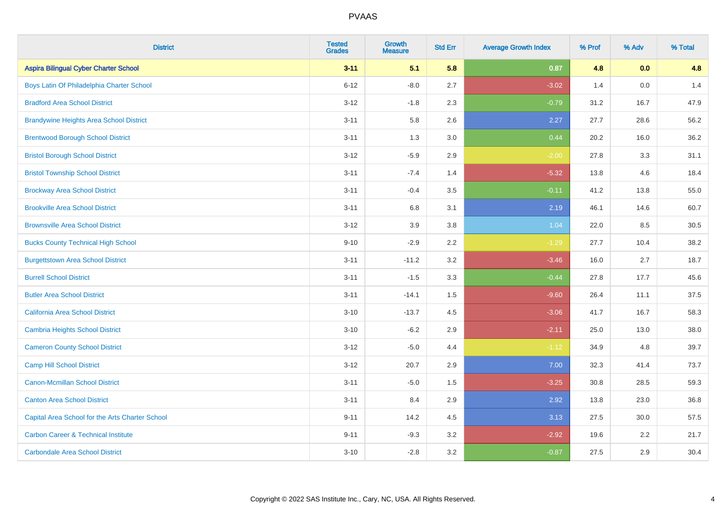| <b>District</b>                                 | <b>Tested</b><br><b>Grades</b> | <b>Growth</b><br><b>Measure</b> | <b>Std Err</b> | <b>Average Growth Index</b> | % Prof | % Adv | % Total |
|-------------------------------------------------|--------------------------------|---------------------------------|----------------|-----------------------------|--------|-------|---------|
| <b>Aspira Bilingual Cyber Charter School</b>    | $3 - 11$                       | 5.1                             | 5.8            | 0.87                        | 4.8    | 0.0   | 4.8     |
| Boys Latin Of Philadelphia Charter School       | $6 - 12$                       | $-8.0$                          | 2.7            | $-3.02$                     | 1.4    | 0.0   | 1.4     |
| <b>Bradford Area School District</b>            | $3-12$                         | $-1.8$                          | 2.3            | $-0.79$                     | 31.2   | 16.7  | 47.9    |
| <b>Brandywine Heights Area School District</b>  | $3 - 11$                       | 5.8                             | 2.6            | 2.27                        | 27.7   | 28.6  | 56.2    |
| <b>Brentwood Borough School District</b>        | $3 - 11$                       | 1.3                             | 3.0            | 0.44                        | 20.2   | 16.0  | 36.2    |
| <b>Bristol Borough School District</b>          | $3 - 12$                       | $-5.9$                          | 2.9            | $-2.00$                     | 27.8   | 3.3   | 31.1    |
| <b>Bristol Township School District</b>         | $3 - 11$                       | $-7.4$                          | 1.4            | $-5.32$                     | 13.8   | 4.6   | 18.4    |
| <b>Brockway Area School District</b>            | $3 - 11$                       | $-0.4$                          | 3.5            | $-0.11$                     | 41.2   | 13.8  | 55.0    |
| <b>Brookville Area School District</b>          | $3 - 11$                       | 6.8                             | 3.1            | 2.19                        | 46.1   | 14.6  | 60.7    |
| <b>Brownsville Area School District</b>         | $3 - 12$                       | 3.9                             | 3.8            | 1.04                        | 22.0   | 8.5   | 30.5    |
| <b>Bucks County Technical High School</b>       | $9 - 10$                       | $-2.9$                          | 2.2            | $-1.29$                     | 27.7   | 10.4  | 38.2    |
| <b>Burgettstown Area School District</b>        | $3 - 11$                       | $-11.2$                         | 3.2            | $-3.46$                     | 16.0   | 2.7   | 18.7    |
| <b>Burrell School District</b>                  | $3 - 11$                       | $-1.5$                          | 3.3            | $-0.44$                     | 27.8   | 17.7  | 45.6    |
| <b>Butler Area School District</b>              | $3 - 11$                       | $-14.1$                         | $1.5\,$        | $-9.60$                     | 26.4   | 11.1  | 37.5    |
| <b>California Area School District</b>          | $3 - 10$                       | $-13.7$                         | 4.5            | $-3.06$                     | 41.7   | 16.7  | 58.3    |
| <b>Cambria Heights School District</b>          | $3 - 10$                       | $-6.2$                          | 2.9            | $-2.11$                     | 25.0   | 13.0  | 38.0    |
| <b>Cameron County School District</b>           | $3 - 12$                       | $-5.0$                          | 4.4            | $-1.12$                     | 34.9   | 4.8   | 39.7    |
| <b>Camp Hill School District</b>                | $3 - 12$                       | 20.7                            | 2.9            | 7.00                        | 32.3   | 41.4  | 73.7    |
| <b>Canon-Mcmillan School District</b>           | $3 - 11$                       | $-5.0$                          | $1.5\,$        | $-3.25$                     | 30.8   | 28.5  | 59.3    |
| <b>Canton Area School District</b>              | $3 - 11$                       | 8.4                             | 2.9            | 2.92                        | 13.8   | 23.0  | 36.8    |
| Capital Area School for the Arts Charter School | $9 - 11$                       | 14.2                            | 4.5            | 3.13                        | 27.5   | 30.0  | 57.5    |
| <b>Carbon Career &amp; Technical Institute</b>  | $9 - 11$                       | $-9.3$                          | 3.2            | $-2.92$                     | 19.6   | 2.2   | 21.7    |
| <b>Carbondale Area School District</b>          | $3 - 10$                       | $-2.8$                          | 3.2            | $-0.87$                     | 27.5   | 2.9   | 30.4    |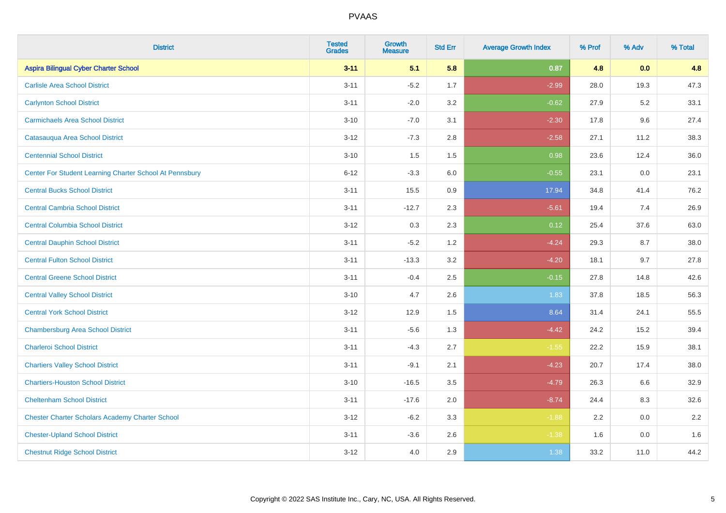| <b>District</b>                                         | <b>Tested</b><br><b>Grades</b> | Growth<br><b>Measure</b> | <b>Std Err</b> | <b>Average Growth Index</b> | % Prof | % Adv | % Total |
|---------------------------------------------------------|--------------------------------|--------------------------|----------------|-----------------------------|--------|-------|---------|
| <b>Aspira Bilingual Cyber Charter School</b>            | $3 - 11$                       | 5.1                      | 5.8            | 0.87                        | 4.8    | 0.0   | 4.8     |
| <b>Carlisle Area School District</b>                    | $3 - 11$                       | $-5.2$                   | 1.7            | $-2.99$                     | 28.0   | 19.3  | 47.3    |
| <b>Carlynton School District</b>                        | $3 - 11$                       | $-2.0$                   | 3.2            | $-0.62$                     | 27.9   | 5.2   | 33.1    |
| <b>Carmichaels Area School District</b>                 | $3 - 10$                       | $-7.0$                   | 3.1            | $-2.30$                     | 17.8   | 9.6   | 27.4    |
| Catasauqua Area School District                         | $3 - 12$                       | $-7.3$                   | 2.8            | $-2.58$                     | 27.1   | 11.2  | 38.3    |
| <b>Centennial School District</b>                       | $3 - 10$                       | 1.5                      | 1.5            | 0.98                        | 23.6   | 12.4  | 36.0    |
| Center For Student Learning Charter School At Pennsbury | $6 - 12$                       | $-3.3$                   | 6.0            | $-0.55$                     | 23.1   | 0.0   | 23.1    |
| <b>Central Bucks School District</b>                    | $3 - 11$                       | 15.5                     | 0.9            | 17.94                       | 34.8   | 41.4  | 76.2    |
| <b>Central Cambria School District</b>                  | $3 - 11$                       | $-12.7$                  | 2.3            | $-5.61$                     | 19.4   | 7.4   | 26.9    |
| <b>Central Columbia School District</b>                 | $3 - 12$                       | 0.3                      | 2.3            | 0.12                        | 25.4   | 37.6  | 63.0    |
| <b>Central Dauphin School District</b>                  | $3 - 11$                       | $-5.2$                   | 1.2            | $-4.24$                     | 29.3   | 8.7   | 38.0    |
| <b>Central Fulton School District</b>                   | $3 - 11$                       | $-13.3$                  | 3.2            | $-4.20$                     | 18.1   | 9.7   | 27.8    |
| <b>Central Greene School District</b>                   | $3 - 11$                       | $-0.4$                   | 2.5            | $-0.15$                     | 27.8   | 14.8  | 42.6    |
| <b>Central Valley School District</b>                   | $3 - 10$                       | 4.7                      | 2.6            | 1.83                        | 37.8   | 18.5  | 56.3    |
| <b>Central York School District</b>                     | $3 - 12$                       | 12.9                     | 1.5            | 8.64                        | 31.4   | 24.1  | 55.5    |
| <b>Chambersburg Area School District</b>                | $3 - 11$                       | $-5.6$                   | 1.3            | $-4.42$                     | 24.2   | 15.2  | 39.4    |
| <b>Charleroi School District</b>                        | $3 - 11$                       | $-4.3$                   | 2.7            | $-1.55$                     | 22.2   | 15.9  | 38.1    |
| <b>Chartiers Valley School District</b>                 | $3 - 11$                       | $-9.1$                   | 2.1            | $-4.23$                     | 20.7   | 17.4  | 38.0    |
| <b>Chartiers-Houston School District</b>                | $3 - 10$                       | $-16.5$                  | 3.5            | $-4.79$                     | 26.3   | 6.6   | 32.9    |
| <b>Cheltenham School District</b>                       | $3 - 11$                       | $-17.6$                  | 2.0            | $-8.74$                     | 24.4   | 8.3   | 32.6    |
| <b>Chester Charter Scholars Academy Charter School</b>  | $3 - 12$                       | $-6.2$                   | 3.3            | $-1.88$                     | 2.2    | 0.0   | 2.2     |
| <b>Chester-Upland School District</b>                   | $3 - 11$                       | $-3.6$                   | 2.6            | $-1.38$                     | 1.6    | 0.0   | 1.6     |
| <b>Chestnut Ridge School District</b>                   | $3 - 12$                       | 4.0                      | 2.9            | 1.38                        | 33.2   | 11.0  | 44.2    |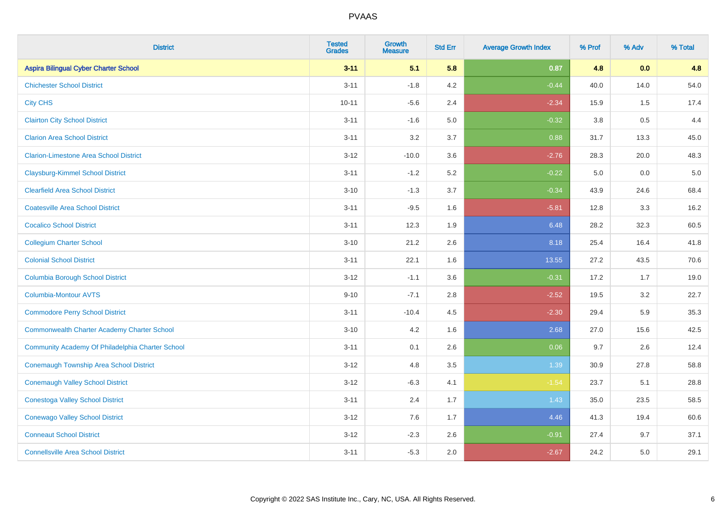| <b>District</b>                                    | <b>Tested</b><br><b>Grades</b> | <b>Growth</b><br><b>Measure</b> | <b>Std Err</b> | <b>Average Growth Index</b> | % Prof  | % Adv | % Total |
|----------------------------------------------------|--------------------------------|---------------------------------|----------------|-----------------------------|---------|-------|---------|
| <b>Aspira Bilingual Cyber Charter School</b>       | $3 - 11$                       | 5.1                             | 5.8            | 0.87                        | 4.8     | 0.0   | 4.8     |
| <b>Chichester School District</b>                  | $3 - 11$                       | $-1.8$                          | 4.2            | $-0.44$                     | 40.0    | 14.0  | 54.0    |
| <b>City CHS</b>                                    | $10 - 11$                      | $-5.6$                          | 2.4            | $-2.34$                     | 15.9    | 1.5   | 17.4    |
| <b>Clairton City School District</b>               | $3 - 11$                       | $-1.6$                          | 5.0            | $-0.32$                     | $3.8\,$ | 0.5   | 4.4     |
| <b>Clarion Area School District</b>                | $3 - 11$                       | 3.2                             | 3.7            | 0.88                        | 31.7    | 13.3  | 45.0    |
| <b>Clarion-Limestone Area School District</b>      | $3 - 12$                       | $-10.0$                         | 3.6            | $-2.76$                     | 28.3    | 20.0  | 48.3    |
| <b>Claysburg-Kimmel School District</b>            | $3 - 11$                       | $-1.2$                          | 5.2            | $-0.22$                     | 5.0     | 0.0   | $5.0$   |
| <b>Clearfield Area School District</b>             | $3 - 10$                       | $-1.3$                          | 3.7            | $-0.34$                     | 43.9    | 24.6  | 68.4    |
| <b>Coatesville Area School District</b>            | $3 - 11$                       | $-9.5$                          | 1.6            | $-5.81$                     | 12.8    | 3.3   | 16.2    |
| <b>Cocalico School District</b>                    | $3 - 11$                       | 12.3                            | 1.9            | 6.48                        | 28.2    | 32.3  | 60.5    |
| <b>Collegium Charter School</b>                    | $3 - 10$                       | 21.2                            | 2.6            | 8.18                        | 25.4    | 16.4  | 41.8    |
| <b>Colonial School District</b>                    | $3 - 11$                       | 22.1                            | 1.6            | 13.55                       | 27.2    | 43.5  | 70.6    |
| <b>Columbia Borough School District</b>            | $3 - 12$                       | $-1.1$                          | 3.6            | $-0.31$                     | 17.2    | 1.7   | 19.0    |
| Columbia-Montour AVTS                              | $9 - 10$                       | $-7.1$                          | 2.8            | $-2.52$                     | 19.5    | 3.2   | 22.7    |
| <b>Commodore Perry School District</b>             | $3 - 11$                       | $-10.4$                         | 4.5            | $-2.30$                     | 29.4    | 5.9   | 35.3    |
| <b>Commonwealth Charter Academy Charter School</b> | $3 - 10$                       | 4.2                             | 1.6            | 2.68                        | 27.0    | 15.6  | 42.5    |
| Community Academy Of Philadelphia Charter School   | $3 - 11$                       | 0.1                             | 2.6            | 0.06                        | 9.7     | 2.6   | 12.4    |
| Conemaugh Township Area School District            | $3 - 12$                       | 4.8                             | 3.5            | 1.39                        | 30.9    | 27.8  | 58.8    |
| <b>Conemaugh Valley School District</b>            | $3 - 12$                       | $-6.3$                          | 4.1            | $-1.54$                     | 23.7    | 5.1   | 28.8    |
| <b>Conestoga Valley School District</b>            | $3 - 11$                       | 2.4                             | 1.7            | 1.43                        | 35.0    | 23.5  | 58.5    |
| <b>Conewago Valley School District</b>             | $3 - 12$                       | 7.6                             | 1.7            | 4.46                        | 41.3    | 19.4  | 60.6    |
| <b>Conneaut School District</b>                    | $3 - 12$                       | $-2.3$                          | 2.6            | $-0.91$                     | 27.4    | 9.7   | 37.1    |
| <b>Connellsville Area School District</b>          | $3 - 11$                       | $-5.3$                          | 2.0            | $-2.67$                     | 24.2    | 5.0   | 29.1    |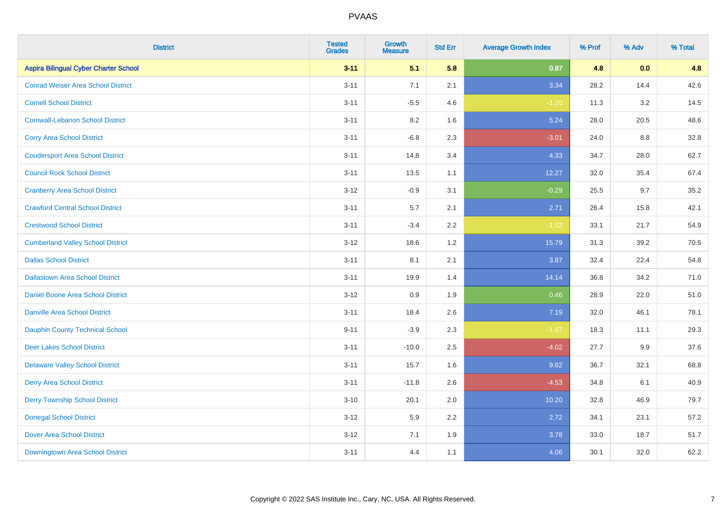| <b>District</b>                              | <b>Tested</b><br><b>Grades</b> | Growth<br><b>Measure</b> | <b>Std Err</b> | <b>Average Growth Index</b> | % Prof | % Adv | % Total |
|----------------------------------------------|--------------------------------|--------------------------|----------------|-----------------------------|--------|-------|---------|
| <b>Aspira Bilingual Cyber Charter School</b> | $3 - 11$                       | 5.1                      | 5.8            | 0.87                        | 4.8    | 0.0   | 4.8     |
| <b>Conrad Weiser Area School District</b>    | $3 - 11$                       | 7.1                      | 2.1            | 3.34                        | 28.2   | 14.4  | 42.6    |
| <b>Cornell School District</b>               | $3 - 11$                       | $-5.5$                   | 4.6            | $-1.20$                     | 11.3   | 3.2   | 14.5    |
| <b>Cornwall-Lebanon School District</b>      | $3 - 11$                       | 8.2                      | 1.6            | 5.24                        | 28.0   | 20.5  | 48.6    |
| <b>Corry Area School District</b>            | $3 - 11$                       | $-6.8$                   | 2.3            | $-3.01$                     | 24.0   | 8.8   | 32.8    |
| <b>Coudersport Area School District</b>      | $3 - 11$                       | 14.8                     | 3.4            | 4.33                        | 34.7   | 28.0  | 62.7    |
| <b>Council Rock School District</b>          | $3 - 11$                       | 13.5                     | 1.1            | 12.27                       | 32.0   | 35.4  | 67.4    |
| <b>Cranberry Area School District</b>        | $3 - 12$                       | $-0.9$                   | 3.1            | $-0.29$                     | 25.5   | 9.7   | 35.2    |
| <b>Crawford Central School District</b>      | $3 - 11$                       | 5.7                      | 2.1            | 2.71                        | 26.4   | 15.8  | 42.1    |
| <b>Crestwood School District</b>             | $3 - 11$                       | $-3.4$                   | 2.2            | $-1.52$                     | 33.1   | 21.7  | 54.9    |
| <b>Cumberland Valley School District</b>     | $3 - 12$                       | 18.6                     | 1.2            | 15.79                       | 31.3   | 39.2  | 70.5    |
| <b>Dallas School District</b>                | $3 - 11$                       | 8.1                      | 2.1            | 3.87                        | 32.4   | 22.4  | 54.8    |
| <b>Dallastown Area School District</b>       | $3 - 11$                       | 19.9                     | 1.4            | 14.14                       | 36.8   | 34.2  | 71.0    |
| Daniel Boone Area School District            | $3 - 12$                       | 0.9                      | 1.9            | 0.46                        | 28.9   | 22.0  | 51.0    |
| <b>Danville Area School District</b>         | $3 - 11$                       | 18.4                     | 2.6            | 7.19                        | 32.0   | 46.1  | 78.1    |
| <b>Dauphin County Technical School</b>       | $9 - 11$                       | $-3.9$                   | 2.3            | $-1.67$                     | 18.3   | 11.1  | 29.3    |
| <b>Deer Lakes School District</b>            | $3 - 11$                       | $-10.0$                  | 2.5            | $-4.02$                     | 27.7   | 9.9   | 37.6    |
| <b>Delaware Valley School District</b>       | $3 - 11$                       | 15.7                     | 1.6            | 9.62                        | 36.7   | 32.1  | 68.8    |
| <b>Derry Area School District</b>            | $3 - 11$                       | $-11.8$                  | 2.6            | $-4.53$                     | 34.8   | 6.1   | 40.9    |
| <b>Derry Township School District</b>        | $3 - 10$                       | 20.1                     | 2.0            | 10.20                       | 32.8   | 46.9  | 79.7    |
| <b>Donegal School District</b>               | $3 - 12$                       | 5.9                      | 2.2            | 2.72                        | 34.1   | 23.1  | 57.2    |
| <b>Dover Area School District</b>            | $3 - 12$                       | 7.1                      | 1.9            | 3.78                        | 33.0   | 18.7  | 51.7    |
| Downingtown Area School District             | $3 - 11$                       | 4.4                      | 1.1            | 4.06                        | 30.1   | 32.0  | 62.2    |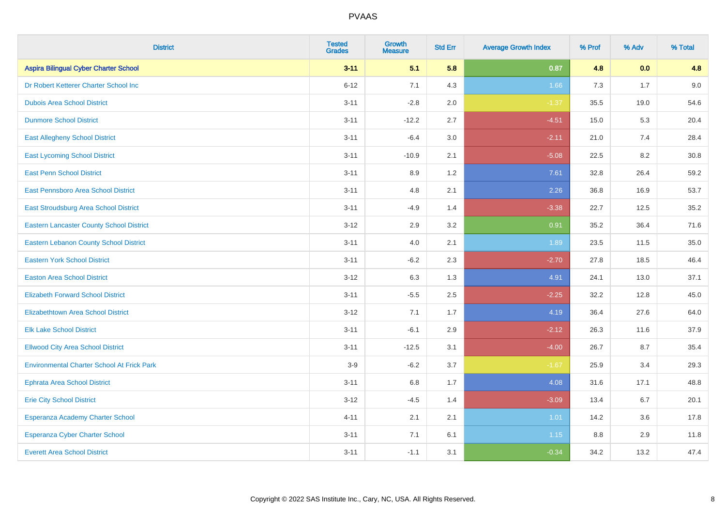| <b>District</b>                                   | <b>Tested</b><br><b>Grades</b> | Growth<br><b>Measure</b> | <b>Std Err</b> | <b>Average Growth Index</b> | % Prof | % Adv | % Total |
|---------------------------------------------------|--------------------------------|--------------------------|----------------|-----------------------------|--------|-------|---------|
| <b>Aspira Bilingual Cyber Charter School</b>      | $3 - 11$                       | 5.1                      | 5.8            | 0.87                        | 4.8    | 0.0   | 4.8     |
| Dr Robert Ketterer Charter School Inc             | $6 - 12$                       | 7.1                      | 4.3            | 1.66                        | 7.3    | 1.7   | 9.0     |
| <b>Dubois Area School District</b>                | $3 - 11$                       | $-2.8$                   | 2.0            | $-1.37$                     | 35.5   | 19.0  | 54.6    |
| <b>Dunmore School District</b>                    | $3 - 11$                       | $-12.2$                  | 2.7            | $-4.51$                     | 15.0   | 5.3   | 20.4    |
| <b>East Allegheny School District</b>             | $3 - 11$                       | $-6.4$                   | 3.0            | $-2.11$                     | 21.0   | 7.4   | 28.4    |
| <b>East Lycoming School District</b>              | $3 - 11$                       | $-10.9$                  | 2.1            | $-5.08$                     | 22.5   | 8.2   | 30.8    |
| <b>East Penn School District</b>                  | $3 - 11$                       | 8.9                      | 1.2            | 7.61                        | 32.8   | 26.4  | 59.2    |
| East Pennsboro Area School District               | $3 - 11$                       | 4.8                      | 2.1            | 2.26                        | 36.8   | 16.9  | 53.7    |
| East Stroudsburg Area School District             | $3 - 11$                       | $-4.9$                   | 1.4            | $-3.38$                     | 22.7   | 12.5  | 35.2    |
| <b>Eastern Lancaster County School District</b>   | $3 - 12$                       | 2.9                      | 3.2            | 0.91                        | 35.2   | 36.4  | 71.6    |
| <b>Eastern Lebanon County School District</b>     | $3 - 11$                       | 4.0                      | 2.1            | 1.89                        | 23.5   | 11.5  | 35.0    |
| <b>Eastern York School District</b>               | $3 - 11$                       | $-6.2$                   | 2.3            | $-2.70$                     | 27.8   | 18.5  | 46.4    |
| <b>Easton Area School District</b>                | $3 - 12$                       | 6.3                      | 1.3            | 4.91                        | 24.1   | 13.0  | 37.1    |
| <b>Elizabeth Forward School District</b>          | $3 - 11$                       | $-5.5$                   | 2.5            | $-2.25$                     | 32.2   | 12.8  | 45.0    |
| <b>Elizabethtown Area School District</b>         | $3 - 12$                       | 7.1                      | 1.7            | 4.19                        | 36.4   | 27.6  | 64.0    |
| <b>Elk Lake School District</b>                   | $3 - 11$                       | $-6.1$                   | 2.9            | $-2.12$                     | 26.3   | 11.6  | 37.9    |
| <b>Ellwood City Area School District</b>          | $3 - 11$                       | $-12.5$                  | 3.1            | $-4.00$                     | 26.7   | 8.7   | 35.4    |
| <b>Environmental Charter School At Frick Park</b> | $3-9$                          | $-6.2$                   | 3.7            | $-1.67$                     | 25.9   | 3.4   | 29.3    |
| <b>Ephrata Area School District</b>               | $3 - 11$                       | 6.8                      | 1.7            | 4.08                        | 31.6   | 17.1  | 48.8    |
| <b>Erie City School District</b>                  | $3 - 12$                       | $-4.5$                   | 1.4            | $-3.09$                     | 13.4   | 6.7   | 20.1    |
| Esperanza Academy Charter School                  | $4 - 11$                       | 2.1                      | 2.1            | 1.01                        | 14.2   | 3.6   | 17.8    |
| Esperanza Cyber Charter School                    | $3 - 11$                       | 7.1                      | 6.1            | 1.15                        | 8.8    | 2.9   | 11.8    |
| <b>Everett Area School District</b>               | $3 - 11$                       | $-1.1$                   | 3.1            | $-0.34$                     | 34.2   | 13.2  | 47.4    |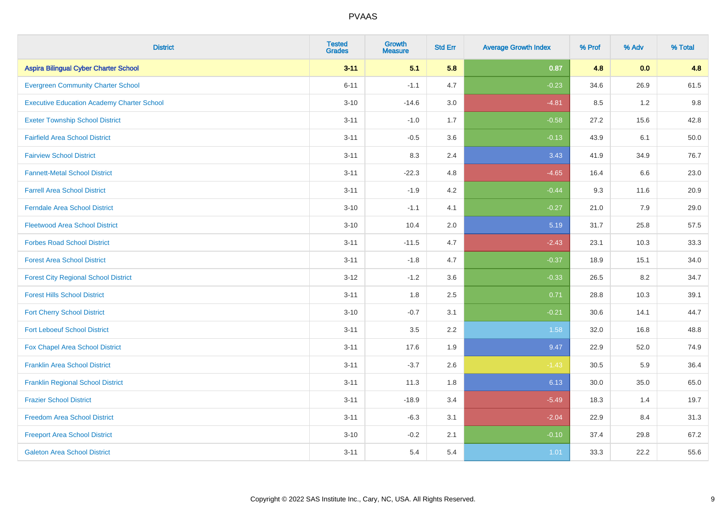| <b>District</b>                                   | <b>Tested</b><br><b>Grades</b> | <b>Growth</b><br><b>Measure</b> | <b>Std Err</b> | <b>Average Growth Index</b> | % Prof | % Adv   | % Total |
|---------------------------------------------------|--------------------------------|---------------------------------|----------------|-----------------------------|--------|---------|---------|
| <b>Aspira Bilingual Cyber Charter School</b>      | $3 - 11$                       | 5.1                             | 5.8            | 0.87                        | 4.8    | 0.0     | 4.8     |
| <b>Evergreen Community Charter School</b>         | $6 - 11$                       | $-1.1$                          | 4.7            | $-0.23$                     | 34.6   | 26.9    | 61.5    |
| <b>Executive Education Academy Charter School</b> | $3 - 10$                       | $-14.6$                         | 3.0            | $-4.81$                     | 8.5    | 1.2     | 9.8     |
| <b>Exeter Township School District</b>            | $3 - 11$                       | $-1.0$                          | 1.7            | $-0.58$                     | 27.2   | 15.6    | 42.8    |
| <b>Fairfield Area School District</b>             | $3 - 11$                       | $-0.5$                          | 3.6            | $-0.13$                     | 43.9   | 6.1     | 50.0    |
| <b>Fairview School District</b>                   | $3 - 11$                       | 8.3                             | 2.4            | 3.43                        | 41.9   | 34.9    | 76.7    |
| <b>Fannett-Metal School District</b>              | $3 - 11$                       | $-22.3$                         | 4.8            | $-4.65$                     | 16.4   | 6.6     | 23.0    |
| <b>Farrell Area School District</b>               | $3 - 11$                       | $-1.9$                          | 4.2            | $-0.44$                     | 9.3    | 11.6    | 20.9    |
| <b>Ferndale Area School District</b>              | $3 - 10$                       | $-1.1$                          | 4.1            | $-0.27$                     | 21.0   | 7.9     | 29.0    |
| <b>Fleetwood Area School District</b>             | $3 - 10$                       | 10.4                            | 2.0            | 5.19                        | 31.7   | 25.8    | 57.5    |
| <b>Forbes Road School District</b>                | $3 - 11$                       | $-11.5$                         | 4.7            | $-2.43$                     | 23.1   | 10.3    | 33.3    |
| <b>Forest Area School District</b>                | $3 - 11$                       | $-1.8$                          | 4.7            | $-0.37$                     | 18.9   | 15.1    | 34.0    |
| <b>Forest City Regional School District</b>       | $3 - 12$                       | $-1.2$                          | 3.6            | $-0.33$                     | 26.5   | $8.2\,$ | 34.7    |
| <b>Forest Hills School District</b>               | $3 - 11$                       | 1.8                             | 2.5            | 0.71                        | 28.8   | 10.3    | 39.1    |
| <b>Fort Cherry School District</b>                | $3 - 10$                       | $-0.7$                          | 3.1            | $-0.21$                     | 30.6   | 14.1    | 44.7    |
| <b>Fort Leboeuf School District</b>               | $3 - 11$                       | 3.5                             | 2.2            | 1.58                        | 32.0   | 16.8    | 48.8    |
| Fox Chapel Area School District                   | $3 - 11$                       | 17.6                            | 1.9            | 9.47                        | 22.9   | 52.0    | 74.9    |
| <b>Franklin Area School District</b>              | $3 - 11$                       | $-3.7$                          | 2.6            | $-1.43$                     | 30.5   | 5.9     | 36.4    |
| <b>Franklin Regional School District</b>          | $3 - 11$                       | 11.3                            | 1.8            | 6.13                        | 30.0   | 35.0    | 65.0    |
| <b>Frazier School District</b>                    | $3 - 11$                       | $-18.9$                         | 3.4            | $-5.49$                     | 18.3   | 1.4     | 19.7    |
| <b>Freedom Area School District</b>               | $3 - 11$                       | $-6.3$                          | 3.1            | $-2.04$                     | 22.9   | 8.4     | 31.3    |
| <b>Freeport Area School District</b>              | $3 - 10$                       | $-0.2$                          | 2.1            | $-0.10$                     | 37.4   | 29.8    | 67.2    |
| <b>Galeton Area School District</b>               | $3 - 11$                       | 5.4                             | 5.4            | 1.01                        | 33.3   | 22.2    | 55.6    |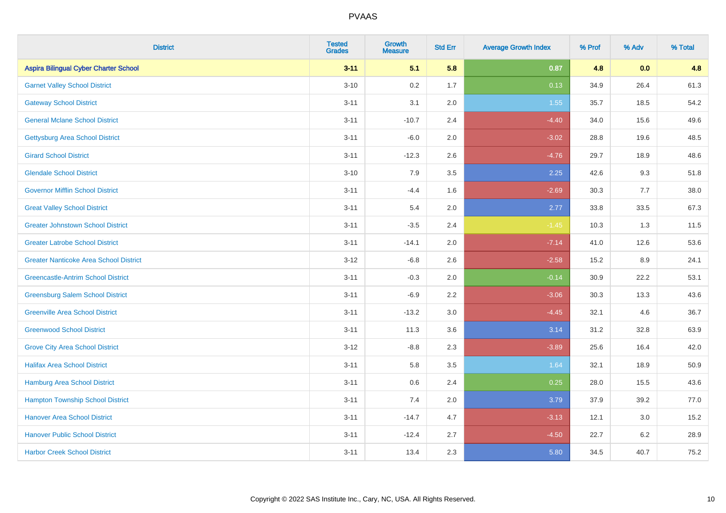| <b>District</b>                               | <b>Tested</b><br><b>Grades</b> | <b>Growth</b><br><b>Measure</b> | <b>Std Err</b> | <b>Average Growth Index</b> | % Prof | % Adv   | % Total |
|-----------------------------------------------|--------------------------------|---------------------------------|----------------|-----------------------------|--------|---------|---------|
| <b>Aspira Bilingual Cyber Charter School</b>  | $3 - 11$                       | 5.1                             | 5.8            | 0.87                        | 4.8    | 0.0     | 4.8     |
| <b>Garnet Valley School District</b>          | $3 - 10$                       | 0.2                             | 1.7            | 0.13                        | 34.9   | 26.4    | 61.3    |
| <b>Gateway School District</b>                | $3 - 11$                       | 3.1                             | 2.0            | 1.55                        | 35.7   | 18.5    | 54.2    |
| <b>General Mclane School District</b>         | $3 - 11$                       | $-10.7$                         | 2.4            | $-4.40$                     | 34.0   | 15.6    | 49.6    |
| <b>Gettysburg Area School District</b>        | $3 - 11$                       | $-6.0$                          | 2.0            | $-3.02$                     | 28.8   | 19.6    | 48.5    |
| <b>Girard School District</b>                 | $3 - 11$                       | $-12.3$                         | 2.6            | $-4.76$                     | 29.7   | 18.9    | 48.6    |
| <b>Glendale School District</b>               | $3 - 10$                       | 7.9                             | 3.5            | 2.25                        | 42.6   | 9.3     | 51.8    |
| <b>Governor Mifflin School District</b>       | $3 - 11$                       | $-4.4$                          | 1.6            | $-2.69$                     | 30.3   | 7.7     | 38.0    |
| <b>Great Valley School District</b>           | $3 - 11$                       | 5.4                             | 2.0            | 2.77                        | 33.8   | 33.5    | 67.3    |
| <b>Greater Johnstown School District</b>      | $3 - 11$                       | $-3.5$                          | 2.4            | $-1.45$                     | 10.3   | 1.3     | 11.5    |
| <b>Greater Latrobe School District</b>        | $3 - 11$                       | $-14.1$                         | 2.0            | $-7.14$                     | 41.0   | 12.6    | 53.6    |
| <b>Greater Nanticoke Area School District</b> | $3 - 12$                       | $-6.8$                          | 2.6            | $-2.58$                     | 15.2   | 8.9     | 24.1    |
| <b>Greencastle-Antrim School District</b>     | $3 - 11$                       | $-0.3$                          | 2.0            | $-0.14$                     | 30.9   | 22.2    | 53.1    |
| <b>Greensburg Salem School District</b>       | $3 - 11$                       | $-6.9$                          | 2.2            | $-3.06$                     | 30.3   | 13.3    | 43.6    |
| <b>Greenville Area School District</b>        | $3 - 11$                       | $-13.2$                         | 3.0            | $-4.45$                     | 32.1   | 4.6     | 36.7    |
| <b>Greenwood School District</b>              | $3 - 11$                       | 11.3                            | 3.6            | 3.14                        | 31.2   | 32.8    | 63.9    |
| <b>Grove City Area School District</b>        | $3 - 12$                       | $-8.8$                          | 2.3            | $-3.89$                     | 25.6   | 16.4    | 42.0    |
| <b>Halifax Area School District</b>           | $3 - 11$                       | 5.8                             | 3.5            | 1.64                        | 32.1   | 18.9    | 50.9    |
| <b>Hamburg Area School District</b>           | $3 - 11$                       | 0.6                             | 2.4            | 0.25                        | 28.0   | 15.5    | 43.6    |
| <b>Hampton Township School District</b>       | $3 - 11$                       | 7.4                             | 2.0            | 3.79                        | 37.9   | 39.2    | 77.0    |
| <b>Hanover Area School District</b>           | $3 - 11$                       | $-14.7$                         | 4.7            | $-3.13$                     | 12.1   | 3.0     | 15.2    |
| <b>Hanover Public School District</b>         | $3 - 11$                       | $-12.4$                         | 2.7            | $-4.50$                     | 22.7   | $6.2\,$ | 28.9    |
| <b>Harbor Creek School District</b>           | $3 - 11$                       | 13.4                            | 2.3            | 5.80                        | 34.5   | 40.7    | 75.2    |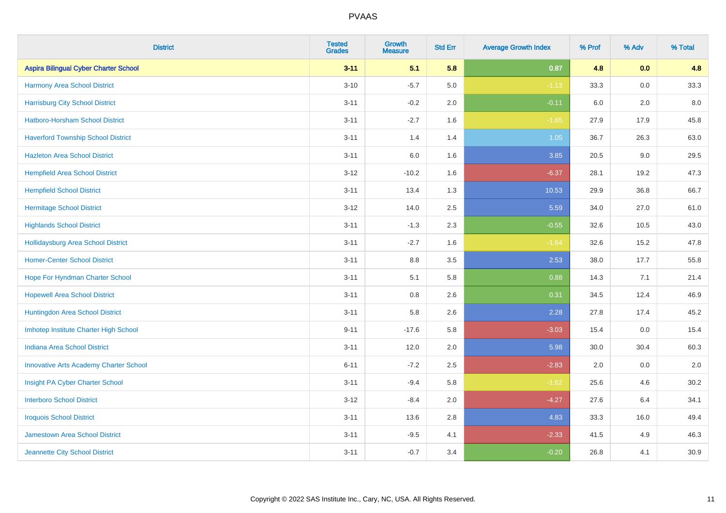| <b>District</b>                               | <b>Tested</b><br><b>Grades</b> | <b>Growth</b><br><b>Measure</b> | <b>Std Err</b> | <b>Average Growth Index</b> | % Prof | % Adv | % Total |
|-----------------------------------------------|--------------------------------|---------------------------------|----------------|-----------------------------|--------|-------|---------|
| <b>Aspira Bilingual Cyber Charter School</b>  | $3 - 11$                       | 5.1                             | 5.8            | 0.87                        | 4.8    | 0.0   | 4.8     |
| Harmony Area School District                  | $3 - 10$                       | $-5.7$                          | 5.0            | $-1.13$                     | 33.3   | 0.0   | 33.3    |
| <b>Harrisburg City School District</b>        | $3 - 11$                       | $-0.2$                          | 2.0            | $-0.11$                     | 6.0    | 2.0   | $8.0\,$ |
| Hatboro-Horsham School District               | $3 - 11$                       | $-2.7$                          | 1.6            | $-1.65$                     | 27.9   | 17.9  | 45.8    |
| <b>Haverford Township School District</b>     | $3 - 11$                       | 1.4                             | 1.4            | $1.05$                      | 36.7   | 26.3  | 63.0    |
| <b>Hazleton Area School District</b>          | $3 - 11$                       | 6.0                             | 1.6            | 3.85                        | 20.5   | 9.0   | 29.5    |
| <b>Hempfield Area School District</b>         | $3 - 12$                       | $-10.2$                         | 1.6            | $-6.37$                     | 28.1   | 19.2  | 47.3    |
| <b>Hempfield School District</b>              | $3 - 11$                       | 13.4                            | 1.3            | 10.53                       | 29.9   | 36.8  | 66.7    |
| <b>Hermitage School District</b>              | $3 - 12$                       | 14.0                            | 2.5            | 5.59                        | 34.0   | 27.0  | 61.0    |
| <b>Highlands School District</b>              | $3 - 11$                       | $-1.3$                          | 2.3            | $-0.55$                     | 32.6   | 10.5  | 43.0    |
| <b>Hollidaysburg Area School District</b>     | $3 - 11$                       | $-2.7$                          | 1.6            | $-1.64$                     | 32.6   | 15.2  | 47.8    |
| <b>Homer-Center School District</b>           | $3 - 11$                       | 8.8                             | 3.5            | 2.53                        | 38.0   | 17.7  | 55.8    |
| Hope For Hyndman Charter School               | $3 - 11$                       | 5.1                             | 5.8            | 0.88                        | 14.3   | 7.1   | 21.4    |
| <b>Hopewell Area School District</b>          | $3 - 11$                       | $0.8\,$                         | 2.6            | 0.31                        | 34.5   | 12.4  | 46.9    |
| Huntingdon Area School District               | $3 - 11$                       | 5.8                             | 2.6            | 2.28                        | 27.8   | 17.4  | 45.2    |
| Imhotep Institute Charter High School         | $9 - 11$                       | $-17.6$                         | 5.8            | $-3.03$                     | 15.4   | 0.0   | 15.4    |
| <b>Indiana Area School District</b>           | $3 - 11$                       | 12.0                            | 2.0            | 5.98                        | 30.0   | 30.4  | 60.3    |
| <b>Innovative Arts Academy Charter School</b> | $6 - 11$                       | $-7.2$                          | 2.5            | $-2.83$                     | 2.0    | 0.0   | 2.0     |
| Insight PA Cyber Charter School               | $3 - 11$                       | $-9.4$                          | 5.8            | $-1.62$                     | 25.6   | 4.6   | 30.2    |
| <b>Interboro School District</b>              | $3 - 12$                       | $-8.4$                          | 2.0            | $-4.27$                     | 27.6   | 6.4   | 34.1    |
| <b>Iroquois School District</b>               | $3 - 11$                       | 13.6                            | 2.8            | 4.83                        | 33.3   | 16.0  | 49.4    |
| Jamestown Area School District                | $3 - 11$                       | $-9.5$                          | 4.1            | $-2.33$                     | 41.5   | 4.9   | 46.3    |
| Jeannette City School District                | $3 - 11$                       | $-0.7$                          | 3.4            | $-0.20$                     | 26.8   | 4.1   | 30.9    |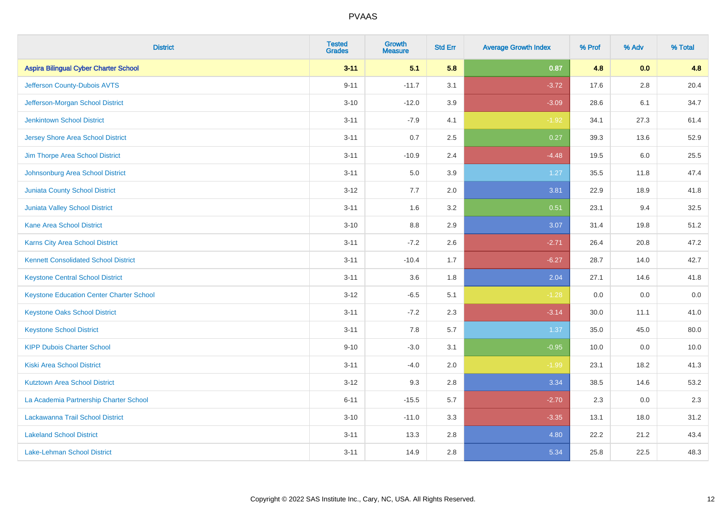| <b>District</b>                                 | <b>Tested</b><br><b>Grades</b> | <b>Growth</b><br><b>Measure</b> | <b>Std Err</b> | <b>Average Growth Index</b> | % Prof | % Adv   | % Total |
|-------------------------------------------------|--------------------------------|---------------------------------|----------------|-----------------------------|--------|---------|---------|
| <b>Aspira Bilingual Cyber Charter School</b>    | $3 - 11$                       | 5.1                             | 5.8            | 0.87                        | 4.8    | 0.0     | 4.8     |
| Jefferson County-Dubois AVTS                    | $9 - 11$                       | $-11.7$                         | 3.1            | $-3.72$                     | 17.6   | $2.8\,$ | 20.4    |
| Jefferson-Morgan School District                | $3 - 10$                       | $-12.0$                         | 3.9            | $-3.09$                     | 28.6   | 6.1     | 34.7    |
| <b>Jenkintown School District</b>               | $3 - 11$                       | $-7.9$                          | 4.1            | $-1.92$                     | 34.1   | 27.3    | 61.4    |
| <b>Jersey Shore Area School District</b>        | $3 - 11$                       | 0.7                             | 2.5            | 0.27                        | 39.3   | 13.6    | 52.9    |
| Jim Thorpe Area School District                 | $3 - 11$                       | $-10.9$                         | 2.4            | $-4.48$                     | 19.5   | 6.0     | 25.5    |
| Johnsonburg Area School District                | $3 - 11$                       | 5.0                             | 3.9            | 1.27                        | 35.5   | 11.8    | 47.4    |
| <b>Juniata County School District</b>           | $3 - 12$                       | 7.7                             | 2.0            | 3.81                        | 22.9   | 18.9    | 41.8    |
| Juniata Valley School District                  | $3 - 11$                       | 1.6                             | 3.2            | 0.51                        | 23.1   | 9.4     | 32.5    |
| <b>Kane Area School District</b>                | $3 - 10$                       | 8.8                             | 2.9            | 3.07                        | 31.4   | 19.8    | 51.2    |
| Karns City Area School District                 | $3 - 11$                       | $-7.2$                          | 2.6            | $-2.71$                     | 26.4   | 20.8    | 47.2    |
| <b>Kennett Consolidated School District</b>     | $3 - 11$                       | $-10.4$                         | 1.7            | $-6.27$                     | 28.7   | 14.0    | 42.7    |
| <b>Keystone Central School District</b>         | $3 - 11$                       | 3.6                             | 1.8            | 2.04                        | 27.1   | 14.6    | 41.8    |
| <b>Keystone Education Center Charter School</b> | $3 - 12$                       | $-6.5$                          | 5.1            | $-1.28$                     | 0.0    | 0.0     | $0.0\,$ |
| <b>Keystone Oaks School District</b>            | $3 - 11$                       | $-7.2$                          | 2.3            | $-3.14$                     | 30.0   | 11.1    | 41.0    |
| <b>Keystone School District</b>                 | $3 - 11$                       | 7.8                             | 5.7            | 1.37                        | 35.0   | 45.0    | 80.0    |
| <b>KIPP Dubois Charter School</b>               | $9 - 10$                       | $-3.0$                          | 3.1            | $-0.95$                     | 10.0   | 0.0     | 10.0    |
| <b>Kiski Area School District</b>               | $3 - 11$                       | $-4.0$                          | 2.0            | $-1.99$                     | 23.1   | 18.2    | 41.3    |
| <b>Kutztown Area School District</b>            | $3 - 12$                       | 9.3                             | 2.8            | 3.34                        | 38.5   | 14.6    | 53.2    |
| La Academia Partnership Charter School          | $6 - 11$                       | $-15.5$                         | 5.7            | $-2.70$                     | 2.3    | 0.0     | 2.3     |
| Lackawanna Trail School District                | $3 - 10$                       | $-11.0$                         | 3.3            | $-3.35$                     | 13.1   | 18.0    | 31.2    |
| <b>Lakeland School District</b>                 | $3 - 11$                       | 13.3                            | 2.8            | 4.80                        | 22.2   | 21.2    | 43.4    |
| Lake-Lehman School District                     | $3 - 11$                       | 14.9                            | 2.8            | 5.34                        | 25.8   | 22.5    | 48.3    |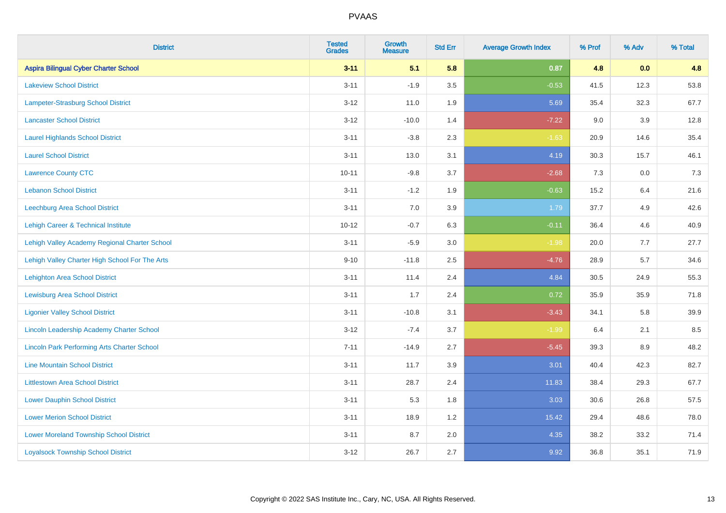| <b>District</b>                                    | <b>Tested</b><br><b>Grades</b> | <b>Growth</b><br><b>Measure</b> | <b>Std Err</b> | <b>Average Growth Index</b> | % Prof | % Adv   | % Total |
|----------------------------------------------------|--------------------------------|---------------------------------|----------------|-----------------------------|--------|---------|---------|
| <b>Aspira Bilingual Cyber Charter School</b>       | $3 - 11$                       | 5.1                             | 5.8            | 0.87                        | 4.8    | 0.0     | 4.8     |
| <b>Lakeview School District</b>                    | $3 - 11$                       | $-1.9$                          | 3.5            | $-0.53$                     | 41.5   | 12.3    | 53.8    |
| <b>Lampeter-Strasburg School District</b>          | $3 - 12$                       | 11.0                            | 1.9            | 5.69                        | 35.4   | 32.3    | 67.7    |
| <b>Lancaster School District</b>                   | $3 - 12$                       | $-10.0$                         | 1.4            | $-7.22$                     | 9.0    | 3.9     | 12.8    |
| <b>Laurel Highlands School District</b>            | $3 - 11$                       | $-3.8$                          | 2.3            | $-1.63$                     | 20.9   | 14.6    | 35.4    |
| <b>Laurel School District</b>                      | $3 - 11$                       | 13.0                            | 3.1            | 4.19                        | 30.3   | 15.7    | 46.1    |
| <b>Lawrence County CTC</b>                         | $10 - 11$                      | $-9.8$                          | 3.7            | $-2.68$                     | 7.3    | 0.0     | 7.3     |
| <b>Lebanon School District</b>                     | $3 - 11$                       | $-1.2$                          | 1.9            | $-0.63$                     | 15.2   | 6.4     | 21.6    |
| Leechburg Area School District                     | $3 - 11$                       | 7.0                             | 3.9            | 1.79                        | 37.7   | 4.9     | 42.6    |
| Lehigh Career & Technical Institute                | $10 - 12$                      | $-0.7$                          | 6.3            | $-0.11$                     | 36.4   | 4.6     | 40.9    |
| Lehigh Valley Academy Regional Charter School      | $3 - 11$                       | $-5.9$                          | 3.0            | $-1.98$                     | 20.0   | 7.7     | 27.7    |
| Lehigh Valley Charter High School For The Arts     | $9 - 10$                       | $-11.8$                         | 2.5            | $-4.76$                     | 28.9   | 5.7     | 34.6    |
| <b>Lehighton Area School District</b>              | $3 - 11$                       | 11.4                            | 2.4            | 4.84                        | 30.5   | 24.9    | 55.3    |
| <b>Lewisburg Area School District</b>              | $3 - 11$                       | 1.7                             | 2.4            | 0.72                        | 35.9   | 35.9    | 71.8    |
| <b>Ligonier Valley School District</b>             | $3 - 11$                       | $-10.8$                         | 3.1            | $-3.43$                     | 34.1   | 5.8     | 39.9    |
| <b>Lincoln Leadership Academy Charter School</b>   | $3 - 12$                       | $-7.4$                          | 3.7            | $-1.99$                     | 6.4    | 2.1     | 8.5     |
| <b>Lincoln Park Performing Arts Charter School</b> | $7 - 11$                       | $-14.9$                         | 2.7            | $-5.45$                     | 39.3   | $8.9\,$ | 48.2    |
| <b>Line Mountain School District</b>               | $3 - 11$                       | 11.7                            | 3.9            | 3.01                        | 40.4   | 42.3    | 82.7    |
| <b>Littlestown Area School District</b>            | $3 - 11$                       | 28.7                            | 2.4            | 11.83                       | 38.4   | 29.3    | 67.7    |
| <b>Lower Dauphin School District</b>               | $3 - 11$                       | 5.3                             | 1.8            | 3.03                        | 30.6   | 26.8    | 57.5    |
| <b>Lower Merion School District</b>                | $3 - 11$                       | 18.9                            | 1.2            | 15.42                       | 29.4   | 48.6    | 78.0    |
| <b>Lower Moreland Township School District</b>     | $3 - 11$                       | 8.7                             | 2.0            | 4.35                        | 38.2   | 33.2    | 71.4    |
| <b>Loyalsock Township School District</b>          | $3 - 12$                       | 26.7                            | 2.7            | 9.92                        | 36.8   | 35.1    | 71.9    |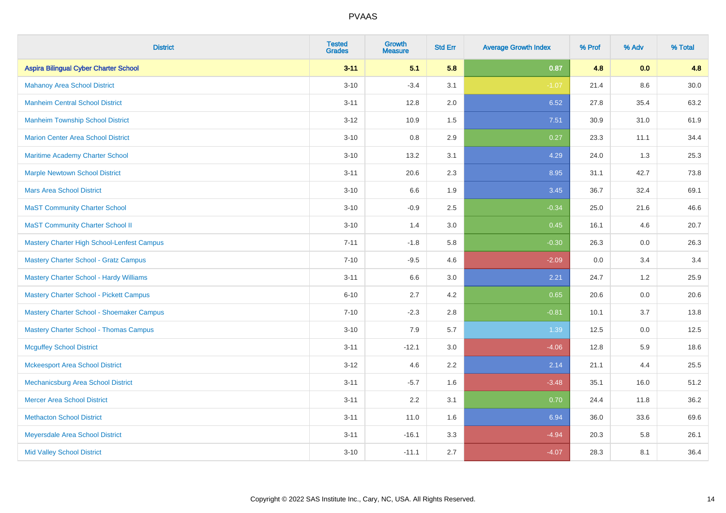| <b>District</b>                                | <b>Tested</b><br><b>Grades</b> | <b>Growth</b><br><b>Measure</b> | <b>Std Err</b> | <b>Average Growth Index</b> | % Prof | % Adv   | % Total  |
|------------------------------------------------|--------------------------------|---------------------------------|----------------|-----------------------------|--------|---------|----------|
| <b>Aspira Bilingual Cyber Charter School</b>   | $3 - 11$                       | 5.1                             | 5.8            | 0.87                        | 4.8    | 0.0     | 4.8      |
| <b>Mahanoy Area School District</b>            | $3 - 10$                       | $-3.4$                          | 3.1            | $-1.07$                     | 21.4   | $8.6\,$ | $30.0\,$ |
| <b>Manheim Central School District</b>         | $3 - 11$                       | 12.8                            | 2.0            | 6.52                        | 27.8   | 35.4    | 63.2     |
| <b>Manheim Township School District</b>        | $3 - 12$                       | 10.9                            | 1.5            | 7.51                        | 30.9   | 31.0    | 61.9     |
| <b>Marion Center Area School District</b>      | $3 - 10$                       | 0.8                             | 2.9            | 0.27                        | 23.3   | 11.1    | 34.4     |
| Maritime Academy Charter School                | $3 - 10$                       | 13.2                            | 3.1            | 4.29                        | 24.0   | 1.3     | 25.3     |
| <b>Marple Newtown School District</b>          | $3 - 11$                       | 20.6                            | 2.3            | 8.95                        | 31.1   | 42.7    | 73.8     |
| <b>Mars Area School District</b>               | $3 - 10$                       | 6.6                             | 1.9            | 3.45                        | 36.7   | 32.4    | 69.1     |
| <b>MaST Community Charter School</b>           | $3 - 10$                       | $-0.9$                          | 2.5            | $-0.34$                     | 25.0   | 21.6    | 46.6     |
| <b>MaST Community Charter School II</b>        | $3 - 10$                       | 1.4                             | 3.0            | 0.45                        | 16.1   | 4.6     | 20.7     |
| Mastery Charter High School-Lenfest Campus     | $7 - 11$                       | $-1.8$                          | 5.8            | $-0.30$                     | 26.3   | 0.0     | 26.3     |
| <b>Mastery Charter School - Gratz Campus</b>   | $7 - 10$                       | $-9.5$                          | 4.6            | $-2.09$                     | 0.0    | 3.4     | 3.4      |
| <b>Mastery Charter School - Hardy Williams</b> | $3 - 11$                       | 6.6                             | 3.0            | 2.21                        | 24.7   | 1.2     | 25.9     |
| Mastery Charter School - Pickett Campus        | $6 - 10$                       | 2.7                             | 4.2            | 0.65                        | 20.6   | 0.0     | 20.6     |
| Mastery Charter School - Shoemaker Campus      | $7 - 10$                       | $-2.3$                          | 2.8            | $-0.81$                     | 10.1   | 3.7     | 13.8     |
| <b>Mastery Charter School - Thomas Campus</b>  | $3 - 10$                       | 7.9                             | 5.7            | 1.39                        | 12.5   | $0.0\,$ | 12.5     |
| <b>Mcguffey School District</b>                | $3 - 11$                       | $-12.1$                         | 3.0            | $-4.06$                     | 12.8   | 5.9     | 18.6     |
| <b>Mckeesport Area School District</b>         | $3 - 12$                       | 4.6                             | 2.2            | 2.14                        | 21.1   | 4.4     | 25.5     |
| Mechanicsburg Area School District             | $3 - 11$                       | $-5.7$                          | 1.6            | $-3.48$                     | 35.1   | 16.0    | 51.2     |
| <b>Mercer Area School District</b>             | $3 - 11$                       | 2.2                             | 3.1            | 0.70                        | 24.4   | 11.8    | 36.2     |
| <b>Methacton School District</b>               | $3 - 11$                       | 11.0                            | 1.6            | 6.94                        | 36.0   | 33.6    | 69.6     |
| Meyersdale Area School District                | $3 - 11$                       | $-16.1$                         | 3.3            | $-4.94$                     | 20.3   | 5.8     | 26.1     |
| <b>Mid Valley School District</b>              | $3 - 10$                       | $-11.1$                         | 2.7            | $-4.07$                     | 28.3   | 8.1     | 36.4     |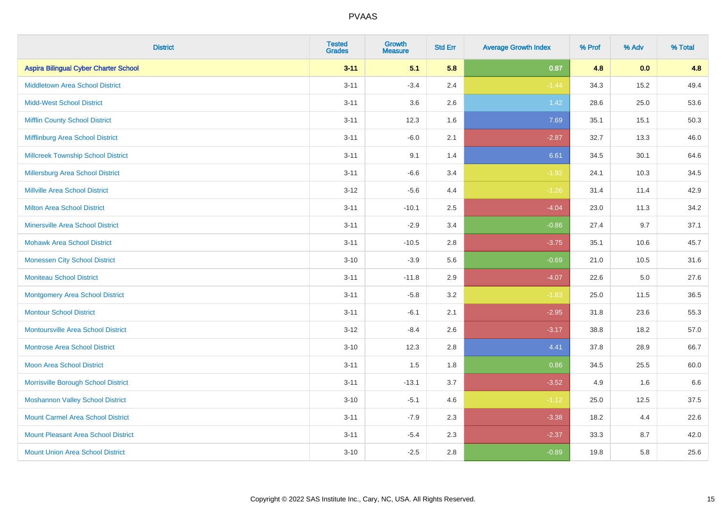| <b>District</b>                              | <b>Tested</b><br><b>Grades</b> | Growth<br><b>Measure</b> | <b>Std Err</b> | <b>Average Growth Index</b> | % Prof | % Adv | % Total |
|----------------------------------------------|--------------------------------|--------------------------|----------------|-----------------------------|--------|-------|---------|
| <b>Aspira Bilingual Cyber Charter School</b> | $3 - 11$                       | 5.1                      | 5.8            | 0.87                        | 4.8    | 0.0   | 4.8     |
| <b>Middletown Area School District</b>       | $3 - 11$                       | $-3.4$                   | 2.4            | $-1.44$                     | 34.3   | 15.2  | 49.4    |
| <b>Midd-West School District</b>             | $3 - 11$                       | 3.6                      | 2.6            | 1.42                        | 28.6   | 25.0  | 53.6    |
| <b>Mifflin County School District</b>        | $3 - 11$                       | 12.3                     | 1.6            | 7.69                        | 35.1   | 15.1  | 50.3    |
| Mifflinburg Area School District             | $3 - 11$                       | $-6.0$                   | 2.1            | $-2.87$                     | 32.7   | 13.3  | 46.0    |
| <b>Millcreek Township School District</b>    | $3 - 11$                       | 9.1                      | 1.4            | 6.61                        | 34.5   | 30.1  | 64.6    |
| Millersburg Area School District             | $3 - 11$                       | $-6.6$                   | 3.4            | $-1.92$                     | 24.1   | 10.3  | 34.5    |
| <b>Millville Area School District</b>        | $3 - 12$                       | $-5.6$                   | 4.4            | $-1.26$                     | 31.4   | 11.4  | 42.9    |
| <b>Milton Area School District</b>           | $3 - 11$                       | $-10.1$                  | 2.5            | $-4.04$                     | 23.0   | 11.3  | 34.2    |
| <b>Minersville Area School District</b>      | $3 - 11$                       | $-2.9$                   | 3.4            | $-0.86$                     | 27.4   | 9.7   | 37.1    |
| <b>Mohawk Area School District</b>           | $3 - 11$                       | $-10.5$                  | 2.8            | $-3.75$                     | 35.1   | 10.6  | 45.7    |
| <b>Monessen City School District</b>         | $3 - 10$                       | $-3.9$                   | 5.6            | $-0.69$                     | 21.0   | 10.5  | 31.6    |
| <b>Moniteau School District</b>              | $3 - 11$                       | $-11.8$                  | 2.9            | $-4.07$                     | 22.6   | 5.0   | 27.6    |
| <b>Montgomery Area School District</b>       | $3 - 11$                       | $-5.8$                   | 3.2            | $-1.83$                     | 25.0   | 11.5  | 36.5    |
| <b>Montour School District</b>               | $3 - 11$                       | $-6.1$                   | 2.1            | $-2.95$                     | 31.8   | 23.6  | 55.3    |
| <b>Montoursville Area School District</b>    | $3 - 12$                       | $-8.4$                   | 2.6            | $-3.17$                     | 38.8   | 18.2  | 57.0    |
| <b>Montrose Area School District</b>         | $3 - 10$                       | 12.3                     | 2.8            | 4.41                        | 37.8   | 28.9  | 66.7    |
| <b>Moon Area School District</b>             | $3 - 11$                       | 1.5                      | 1.8            | 0.86                        | 34.5   | 25.5  | 60.0    |
| Morrisville Borough School District          | $3 - 11$                       | $-13.1$                  | 3.7            | $-3.52$                     | 4.9    | 1.6   | 6.6     |
| <b>Moshannon Valley School District</b>      | $3 - 10$                       | $-5.1$                   | 4.6            | $-1.12$                     | 25.0   | 12.5  | 37.5    |
| <b>Mount Carmel Area School District</b>     | $3 - 11$                       | $-7.9$                   | 2.3            | $-3.38$                     | 18.2   | 4.4   | 22.6    |
| <b>Mount Pleasant Area School District</b>   | $3 - 11$                       | $-5.4$                   | 2.3            | $-2.37$                     | 33.3   | 8.7   | 42.0    |
| <b>Mount Union Area School District</b>      | $3 - 10$                       | $-2.5$                   | 2.8            | $-0.89$                     | 19.8   | 5.8   | 25.6    |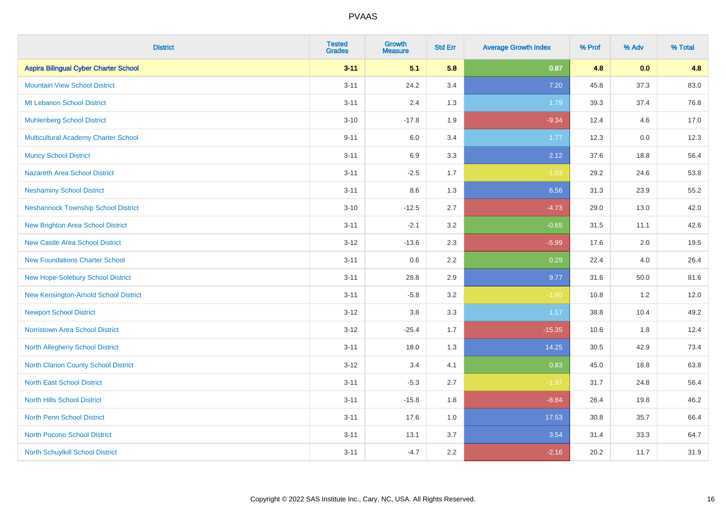| <b>District</b>                              | <b>Tested</b><br><b>Grades</b> | <b>Growth</b><br><b>Measure</b> | <b>Std Err</b> | <b>Average Growth Index</b> | % Prof | % Adv | % Total |
|----------------------------------------------|--------------------------------|---------------------------------|----------------|-----------------------------|--------|-------|---------|
| <b>Aspira Bilingual Cyber Charter School</b> | $3 - 11$                       | 5.1                             | 5.8            | 0.87                        | 4.8    | 0.0   | 4.8     |
| <b>Mountain View School District</b>         | $3 - 11$                       | 24.2                            | 3.4            | 7.20                        | 45.8   | 37.3  | 83.0    |
| Mt Lebanon School District                   | $3 - 11$                       | 2.4                             | 1.3            | 1.79                        | 39.3   | 37.4  | 76.8    |
| <b>Muhlenberg School District</b>            | $3 - 10$                       | $-17.8$                         | 1.9            | $-9.34$                     | 12.4   | 4.6   | 17.0    |
| <b>Multicultural Academy Charter School</b>  | $9 - 11$                       | 6.0                             | 3.4            | 1.77                        | 12.3   | 0.0   | 12.3    |
| <b>Muncy School District</b>                 | $3 - 11$                       | 6.9                             | 3.3            | 2.12                        | 37.6   | 18.8  | 56.4    |
| <b>Nazareth Area School District</b>         | $3 - 11$                       | $-2.5$                          | 1.7            | $-1.53$                     | 29.2   | 24.6  | 53.8    |
| <b>Neshaminy School District</b>             | $3 - 11$                       | 8.6                             | 1.3            | 6.56                        | 31.3   | 23.9  | 55.2    |
| <b>Neshannock Township School District</b>   | $3 - 10$                       | $-12.5$                         | 2.7            | $-4.73$                     | 29.0   | 13.0  | 42.0    |
| <b>New Brighton Area School District</b>     | $3 - 11$                       | $-2.1$                          | 3.2            | $-0.65$                     | 31.5   | 11.1  | 42.6    |
| New Castle Area School District              | $3-12$                         | $-13.6$                         | 2.3            | $-5.99$                     | 17.6   | 2.0   | 19.5    |
| <b>New Foundations Charter School</b>        | $3 - 11$                       | 0.6                             | 2.2            | 0.29                        | 22.4   | 4.0   | 26.4    |
| New Hope-Solebury School District            | $3 - 11$                       | 28.8                            | 2.9            | 9.77                        | 31.6   | 50.0  | 81.6    |
| New Kensington-Arnold School District        | $3 - 11$                       | $-5.8$                          | 3.2            | $-1.80$                     | 10.8   | 1.2   | 12.0    |
| <b>Newport School District</b>               | $3-12$                         | $3.8\,$                         | 3.3            | 1.17                        | 38.8   | 10.4  | 49.2    |
| <b>Norristown Area School District</b>       | $3 - 12$                       | $-25.4$                         | 1.7            | $-15.35$                    | 10.6   | 1.8   | 12.4    |
| North Allegheny School District              | $3 - 11$                       | 18.0                            | 1.3            | 14.25                       | 30.5   | 42.9  | 73.4    |
| <b>North Clarion County School District</b>  | $3 - 12$                       | 3.4                             | 4.1            | 0.83                        | 45.0   | 18.8  | 63.8    |
| <b>North East School District</b>            | $3 - 11$                       | $-5.3$                          | 2.7            | $-1.97$                     | 31.7   | 24.8  | 56.4    |
| <b>North Hills School District</b>           | $3 - 11$                       | $-15.8$                         | 1.8            | $-8.84$                     | 26.4   | 19.8  | 46.2    |
| <b>North Penn School District</b>            | $3 - 11$                       | 17.6                            | 1.0            | 17.53                       | 30.8   | 35.7  | 66.4    |
| <b>North Pocono School District</b>          | $3 - 11$                       | 13.1                            | 3.7            | 3.54                        | 31.4   | 33.3  | 64.7    |
| North Schuylkill School District             | $3 - 11$                       | $-4.7$                          | 2.2            | $-2.16$                     | 20.2   | 11.7  | 31.9    |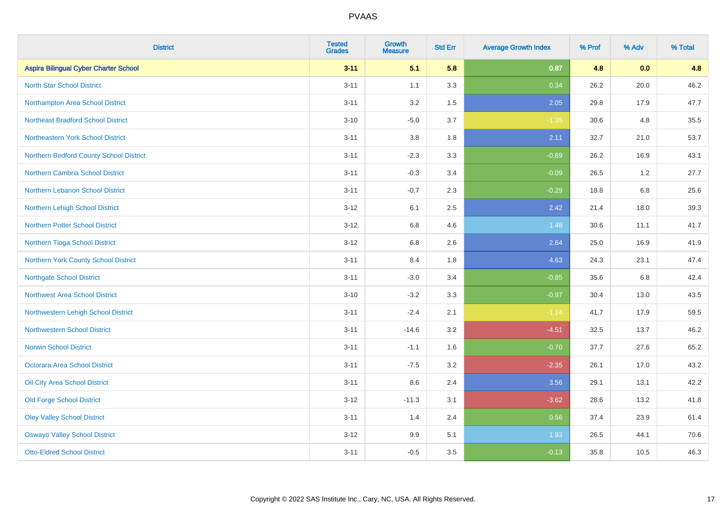| <b>District</b>                              | <b>Tested</b><br><b>Grades</b> | Growth<br><b>Measure</b> | <b>Std Err</b> | <b>Average Growth Index</b> | % Prof | % Adv | % Total |
|----------------------------------------------|--------------------------------|--------------------------|----------------|-----------------------------|--------|-------|---------|
| <b>Aspira Bilingual Cyber Charter School</b> | $3 - 11$                       | 5.1                      | 5.8            | 0.87                        | 4.8    | 0.0   | 4.8     |
| <b>North Star School District</b>            | $3 - 11$                       | 1.1                      | 3.3            | 0.34                        | 26.2   | 20.0  | 46.2    |
| Northampton Area School District             | $3 - 11$                       | 3.2                      | 1.5            | 2.05                        | 29.8   | 17.9  | 47.7    |
| <b>Northeast Bradford School District</b>    | $3 - 10$                       | $-5.0$                   | 3.7            | $-1.35$                     | 30.6   | 4.8   | 35.5    |
| Northeastern York School District            | $3 - 11$                       | 3.8                      | 1.8            | 2.11                        | 32.7   | 21.0  | 53.7    |
| Northern Bedford County School District      | $3 - 11$                       | $-2.3$                   | 3.3            | $-0.69$                     | 26.2   | 16.9  | 43.1    |
| <b>Northern Cambria School District</b>      | $3 - 11$                       | $-0.3$                   | 3.4            | $-0.09$                     | 26.5   | 1.2   | 27.7    |
| Northern Lebanon School District             | $3 - 11$                       | $-0.7$                   | 2.3            | $-0.29$                     | 18.8   | 6.8   | 25.6    |
| Northern Lehigh School District              | $3 - 12$                       | 6.1                      | 2.5            | 2.42                        | 21.4   | 18.0  | 39.3    |
| <b>Northern Potter School District</b>       | $3 - 12$                       | $6.8\,$                  | 4.6            | 1.48                        | 30.6   | 11.1  | 41.7    |
| Northern Tioga School District               | $3 - 12$                       | 6.8                      | 2.6            | 2.64                        | 25.0   | 16.9  | 41.9    |
| Northern York County School District         | $3 - 11$                       | 8.4                      | 1.8            | 4.63                        | 24.3   | 23.1  | 47.4    |
| <b>Northgate School District</b>             | $3 - 11$                       | $-3.0$                   | 3.4            | $-0.85$                     | 35.6   | 6.8   | 42.4    |
| <b>Northwest Area School District</b>        | $3 - 10$                       | $-3.2$                   | 3.3            | $-0.97$                     | 30.4   | 13.0  | 43.5    |
| Northwestern Lehigh School District          | $3 - 11$                       | $-2.4$                   | 2.1            | $-1.14$                     | 41.7   | 17.9  | 59.5    |
| <b>Northwestern School District</b>          | $3 - 11$                       | $-14.6$                  | 3.2            | $-4.51$                     | 32.5   | 13.7  | 46.2    |
| <b>Norwin School District</b>                | $3 - 11$                       | $-1.1$                   | 1.6            | $-0.70$                     | 37.7   | 27.6  | 65.2    |
| <b>Octorara Area School District</b>         | $3 - 11$                       | $-7.5$                   | 3.2            | $-2.35$                     | 26.1   | 17.0  | 43.2    |
| Oil City Area School District                | $3 - 11$                       | 8.6                      | 2.4            | 3.56                        | 29.1   | 13.1  | 42.2    |
| <b>Old Forge School District</b>             | $3 - 12$                       | $-11.3$                  | 3.1            | $-3.62$                     | 28.6   | 13.2  | 41.8    |
| <b>Oley Valley School District</b>           | $3 - 11$                       | 1.4                      | 2.4            | 0.56                        | 37.4   | 23.9  | 61.4    |
| <b>Oswayo Valley School District</b>         | $3-12$                         | 9.9                      | 5.1            | 1.93                        | 26.5   | 44.1  | 70.6    |
| <b>Otto-Eldred School District</b>           | $3 - 11$                       | $-0.5$                   | 3.5            | $-0.13$                     | 35.8   | 10.5  | 46.3    |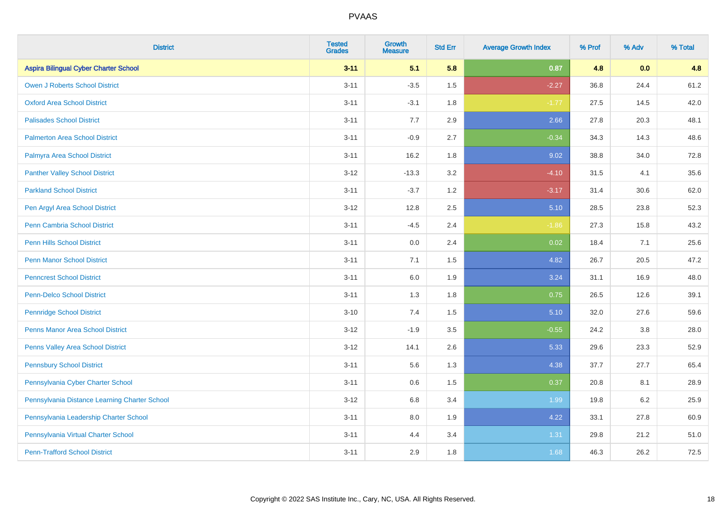| <b>District</b>                               | <b>Tested</b><br><b>Grades</b> | Growth<br><b>Measure</b> | <b>Std Err</b> | <b>Average Growth Index</b> | % Prof | % Adv | % Total |
|-----------------------------------------------|--------------------------------|--------------------------|----------------|-----------------------------|--------|-------|---------|
| <b>Aspira Bilingual Cyber Charter School</b>  | $3 - 11$                       | 5.1                      | 5.8            | 0.87                        | 4.8    | 0.0   | 4.8     |
| <b>Owen J Roberts School District</b>         | $3 - 11$                       | $-3.5$                   | 1.5            | $-2.27$                     | 36.8   | 24.4  | 61.2    |
| <b>Oxford Area School District</b>            | $3 - 11$                       | $-3.1$                   | 1.8            | $-1.77$                     | 27.5   | 14.5  | 42.0    |
| <b>Palisades School District</b>              | $3 - 11$                       | 7.7                      | 2.9            | 2.66                        | 27.8   | 20.3  | 48.1    |
| <b>Palmerton Area School District</b>         | $3 - 11$                       | $-0.9$                   | 2.7            | $-0.34$                     | 34.3   | 14.3  | 48.6    |
| Palmyra Area School District                  | $3 - 11$                       | 16.2                     | 1.8            | 9.02                        | 38.8   | 34.0  | 72.8    |
| <b>Panther Valley School District</b>         | $3 - 12$                       | $-13.3$                  | 3.2            | $-4.10$                     | 31.5   | 4.1   | 35.6    |
| <b>Parkland School District</b>               | $3 - 11$                       | $-3.7$                   | 1.2            | $-3.17$                     | 31.4   | 30.6  | 62.0    |
| Pen Argyl Area School District                | $3-12$                         | 12.8                     | 2.5            | 5.10                        | 28.5   | 23.8  | 52.3    |
| <b>Penn Cambria School District</b>           | $3 - 11$                       | $-4.5$                   | 2.4            | $-1.86$                     | 27.3   | 15.8  | 43.2    |
| Penn Hills School District                    | $3 - 11$                       | 0.0                      | 2.4            | 0.02                        | 18.4   | 7.1   | 25.6    |
| <b>Penn Manor School District</b>             | $3 - 11$                       | 7.1                      | 1.5            | 4.82                        | 26.7   | 20.5  | 47.2    |
| <b>Penncrest School District</b>              | $3 - 11$                       | 6.0                      | 1.9            | 3.24                        | 31.1   | 16.9  | 48.0    |
| <b>Penn-Delco School District</b>             | $3 - 11$                       | 1.3                      | 1.8            | 0.75                        | 26.5   | 12.6  | 39.1    |
| <b>Pennridge School District</b>              | $3 - 10$                       | $7.4$                    | 1.5            | 5.10                        | 32.0   | 27.6  | 59.6    |
| <b>Penns Manor Area School District</b>       | $3 - 12$                       | $-1.9$                   | 3.5            | $-0.55$                     | 24.2   | 3.8   | 28.0    |
| <b>Penns Valley Area School District</b>      | $3 - 12$                       | 14.1                     | 2.6            | 5.33                        | 29.6   | 23.3  | 52.9    |
| <b>Pennsbury School District</b>              | $3 - 11$                       | 5.6                      | 1.3            | 4.38                        | 37.7   | 27.7  | 65.4    |
| Pennsylvania Cyber Charter School             | $3 - 11$                       | $0.6\,$                  | 1.5            | 0.37                        | 20.8   | 8.1   | 28.9    |
| Pennsylvania Distance Learning Charter School | $3 - 12$                       | 6.8                      | 3.4            | 1.99                        | 19.8   | 6.2   | 25.9    |
| Pennsylvania Leadership Charter School        | $3 - 11$                       | 8.0                      | 1.9            | 4.22                        | 33.1   | 27.8  | 60.9    |
| Pennsylvania Virtual Charter School           | $3 - 11$                       | 4.4                      | 3.4            | 1.31                        | 29.8   | 21.2  | 51.0    |
| <b>Penn-Trafford School District</b>          | $3 - 11$                       | 2.9                      | 1.8            | 1.68                        | 46.3   | 26.2  | 72.5    |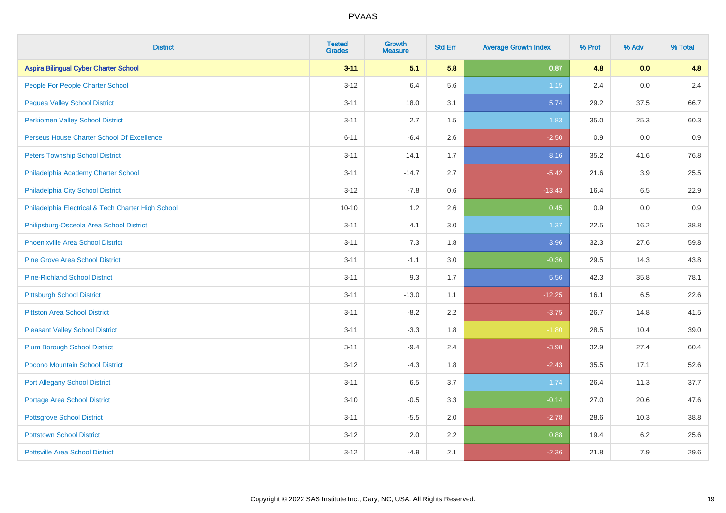| <b>District</b>                                    | <b>Tested</b><br><b>Grades</b> | Growth<br><b>Measure</b> | <b>Std Err</b> | <b>Average Growth Index</b> | % Prof | % Adv | % Total |
|----------------------------------------------------|--------------------------------|--------------------------|----------------|-----------------------------|--------|-------|---------|
| <b>Aspira Bilingual Cyber Charter School</b>       | $3 - 11$                       | 5.1                      | 5.8            | 0.87                        | 4.8    | 0.0   | 4.8     |
| People For People Charter School                   | $3 - 12$                       | 6.4                      | 5.6            | 1.15                        | 2.4    | 0.0   | 2.4     |
| <b>Pequea Valley School District</b>               | $3 - 11$                       | 18.0                     | 3.1            | 5.74                        | 29.2   | 37.5  | 66.7    |
| <b>Perkiomen Valley School District</b>            | $3 - 11$                       | 2.7                      | 1.5            | 1.83                        | 35.0   | 25.3  | 60.3    |
| Perseus House Charter School Of Excellence         | $6 - 11$                       | $-6.4$                   | 2.6            | $-2.50$                     | 0.9    | 0.0   | 0.9     |
| <b>Peters Township School District</b>             | $3 - 11$                       | 14.1                     | 1.7            | 8.16                        | 35.2   | 41.6  | 76.8    |
| Philadelphia Academy Charter School                | $3 - 11$                       | $-14.7$                  | 2.7            | $-5.42$                     | 21.6   | 3.9   | 25.5    |
| Philadelphia City School District                  | $3 - 12$                       | $-7.8$                   | 0.6            | $-13.43$                    | 16.4   | 6.5   | 22.9    |
| Philadelphia Electrical & Tech Charter High School | $10 - 10$                      | 1.2                      | 2.6            | 0.45                        | 0.9    | 0.0   | 0.9     |
| Philipsburg-Osceola Area School District           | $3 - 11$                       | 4.1                      | 3.0            | 1.37                        | 22.5   | 16.2  | 38.8    |
| <b>Phoenixville Area School District</b>           | $3 - 11$                       | 7.3                      | 1.8            | 3.96                        | 32.3   | 27.6  | 59.8    |
| <b>Pine Grove Area School District</b>             | $3 - 11$                       | $-1.1$                   | 3.0            | $-0.36$                     | 29.5   | 14.3  | 43.8    |
| <b>Pine-Richland School District</b>               | $3 - 11$                       | 9.3                      | 1.7            | 5.56                        | 42.3   | 35.8  | 78.1    |
| <b>Pittsburgh School District</b>                  | $3 - 11$                       | $-13.0$                  | 1.1            | $-12.25$                    | 16.1   | 6.5   | 22.6    |
| <b>Pittston Area School District</b>               | $3 - 11$                       | $-8.2$                   | 2.2            | $-3.75$                     | 26.7   | 14.8  | 41.5    |
| <b>Pleasant Valley School District</b>             | $3 - 11$                       | $-3.3$                   | 1.8            | $-1.80$                     | 28.5   | 10.4  | 39.0    |
| <b>Plum Borough School District</b>                | $3 - 11$                       | $-9.4$                   | 2.4            | $-3.98$                     | 32.9   | 27.4  | 60.4    |
| Pocono Mountain School District                    | $3 - 12$                       | $-4.3$                   | 1.8            | $-2.43$                     | 35.5   | 17.1  | 52.6    |
| <b>Port Allegany School District</b>               | $3 - 11$                       | 6.5                      | 3.7            | 1.74                        | 26.4   | 11.3  | 37.7    |
| <b>Portage Area School District</b>                | $3 - 10$                       | $-0.5$                   | 3.3            | $-0.14$                     | 27.0   | 20.6  | 47.6    |
| <b>Pottsgrove School District</b>                  | $3 - 11$                       | $-5.5$                   | 2.0            | $-2.78$                     | 28.6   | 10.3  | 38.8    |
| <b>Pottstown School District</b>                   | $3 - 12$                       | 2.0                      | 2.2            | 0.88                        | 19.4   | 6.2   | 25.6    |
| <b>Pottsville Area School District</b>             | $3 - 12$                       | $-4.9$                   | 2.1            | $-2.36$                     | 21.8   | 7.9   | 29.6    |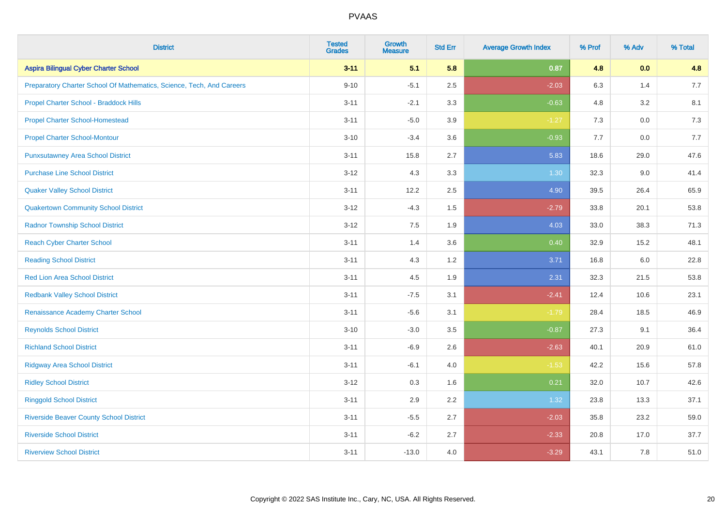| <b>District</b>                                                       | <b>Tested</b><br><b>Grades</b> | <b>Growth</b><br><b>Measure</b> | <b>Std Err</b> | <b>Average Growth Index</b> | % Prof | % Adv   | % Total |
|-----------------------------------------------------------------------|--------------------------------|---------------------------------|----------------|-----------------------------|--------|---------|---------|
| <b>Aspira Bilingual Cyber Charter School</b>                          | $3 - 11$                       | 5.1                             | 5.8            | 0.87                        | 4.8    | 0.0     | 4.8     |
| Preparatory Charter School Of Mathematics, Science, Tech, And Careers | $9 - 10$                       | $-5.1$                          | 2.5            | $-2.03$                     | 6.3    | 1.4     | 7.7     |
| Propel Charter School - Braddock Hills                                | $3 - 11$                       | $-2.1$                          | 3.3            | $-0.63$                     | 4.8    | 3.2     | 8.1     |
| <b>Propel Charter School-Homestead</b>                                | $3 - 11$                       | $-5.0$                          | 3.9            | $-1.27$                     | 7.3    | $0.0\,$ | 7.3     |
| <b>Propel Charter School-Montour</b>                                  | $3 - 10$                       | $-3.4$                          | 3.6            | $-0.93$                     | 7.7    | 0.0     | 7.7     |
| <b>Punxsutawney Area School District</b>                              | $3 - 11$                       | 15.8                            | 2.7            | 5.83                        | 18.6   | 29.0    | 47.6    |
| <b>Purchase Line School District</b>                                  | $3 - 12$                       | 4.3                             | 3.3            | 1.30                        | 32.3   | 9.0     | 41.4    |
| <b>Quaker Valley School District</b>                                  | $3 - 11$                       | 12.2                            | 2.5            | 4.90                        | 39.5   | 26.4    | 65.9    |
| <b>Quakertown Community School District</b>                           | $3 - 12$                       | $-4.3$                          | 1.5            | $-2.79$                     | 33.8   | 20.1    | 53.8    |
| <b>Radnor Township School District</b>                                | $3 - 12$                       | 7.5                             | 1.9            | 4.03                        | 33.0   | 38.3    | 71.3    |
| <b>Reach Cyber Charter School</b>                                     | $3 - 11$                       | 1.4                             | 3.6            | 0.40                        | 32.9   | 15.2    | 48.1    |
| <b>Reading School District</b>                                        | $3 - 11$                       | 4.3                             | 1.2            | 3.71                        | 16.8   | 6.0     | 22.8    |
| <b>Red Lion Area School District</b>                                  | $3 - 11$                       | 4.5                             | 1.9            | 2.31                        | 32.3   | 21.5    | 53.8    |
| <b>Redbank Valley School District</b>                                 | $3 - 11$                       | $-7.5$                          | 3.1            | $-2.41$                     | 12.4   | 10.6    | 23.1    |
| Renaissance Academy Charter School                                    | $3 - 11$                       | $-5.6$                          | 3.1            | $-1.79$                     | 28.4   | 18.5    | 46.9    |
| <b>Reynolds School District</b>                                       | $3 - 10$                       | $-3.0$                          | 3.5            | $-0.87$                     | 27.3   | 9.1     | 36.4    |
| <b>Richland School District</b>                                       | $3 - 11$                       | $-6.9$                          | 2.6            | $-2.63$                     | 40.1   | 20.9    | 61.0    |
| <b>Ridgway Area School District</b>                                   | $3 - 11$                       | $-6.1$                          | 4.0            | $-1.53$                     | 42.2   | 15.6    | 57.8    |
| <b>Ridley School District</b>                                         | $3 - 12$                       | 0.3                             | 1.6            | 0.21                        | 32.0   | 10.7    | 42.6    |
| <b>Ringgold School District</b>                                       | $3 - 11$                       | 2.9                             | 2.2            | 1.32                        | 23.8   | 13.3    | 37.1    |
| <b>Riverside Beaver County School District</b>                        | $3 - 11$                       | $-5.5$                          | 2.7            | $-2.03$                     | 35.8   | 23.2    | 59.0    |
| <b>Riverside School District</b>                                      | $3 - 11$                       | $-6.2$                          | 2.7            | $-2.33$                     | 20.8   | 17.0    | 37.7    |
| <b>Riverview School District</b>                                      | $3 - 11$                       | $-13.0$                         | 4.0            | $-3.29$                     | 43.1   | 7.8     | 51.0    |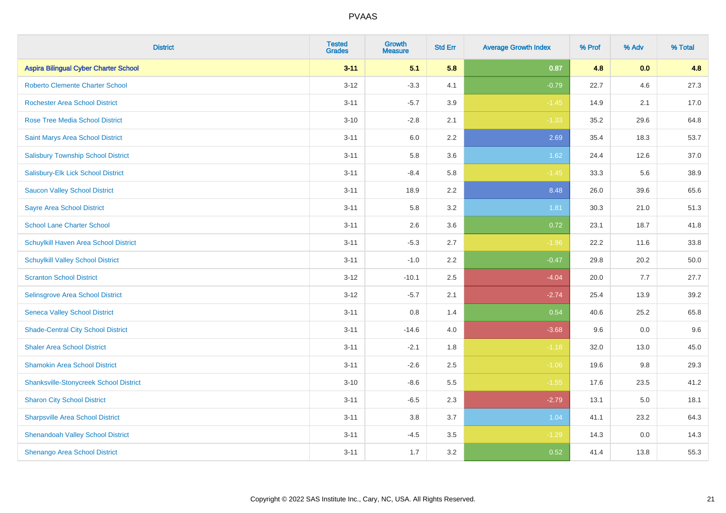| <b>District</b>                               | <b>Tested</b><br><b>Grades</b> | <b>Growth</b><br><b>Measure</b> | <b>Std Err</b> | <b>Average Growth Index</b> | % Prof | % Adv | % Total |
|-----------------------------------------------|--------------------------------|---------------------------------|----------------|-----------------------------|--------|-------|---------|
| <b>Aspira Bilingual Cyber Charter School</b>  | $3 - 11$                       | 5.1                             | 5.8            | 0.87                        | 4.8    | 0.0   | 4.8     |
| <b>Roberto Clemente Charter School</b>        | $3 - 12$                       | $-3.3$                          | 4.1            | $-0.79$                     | 22.7   | 4.6   | 27.3    |
| <b>Rochester Area School District</b>         | $3 - 11$                       | $-5.7$                          | 3.9            | $-1.45$                     | 14.9   | 2.1   | 17.0    |
| <b>Rose Tree Media School District</b>        | $3 - 10$                       | $-2.8$                          | 2.1            | $-1.33$                     | 35.2   | 29.6  | 64.8    |
| <b>Saint Marys Area School District</b>       | $3 - 11$                       | 6.0                             | 2.2            | 2.69                        | 35.4   | 18.3  | 53.7    |
| <b>Salisbury Township School District</b>     | $3 - 11$                       | 5.8                             | 3.6            | 1.62                        | 24.4   | 12.6  | 37.0    |
| Salisbury-Elk Lick School District            | $3 - 11$                       | $-8.4$                          | 5.8            | $-1.45$                     | 33.3   | 5.6   | 38.9    |
| <b>Saucon Valley School District</b>          | $3 - 11$                       | 18.9                            | 2.2            | 8.48                        | 26.0   | 39.6  | 65.6    |
| <b>Sayre Area School District</b>             | $3 - 11$                       | 5.8                             | 3.2            | 1.81                        | 30.3   | 21.0  | 51.3    |
| <b>School Lane Charter School</b>             | $3 - 11$                       | 2.6                             | 3.6            | 0.72                        | 23.1   | 18.7  | 41.8    |
| Schuylkill Haven Area School District         | $3 - 11$                       | $-5.3$                          | 2.7            | $-1.96$                     | 22.2   | 11.6  | 33.8    |
| <b>Schuylkill Valley School District</b>      | $3 - 11$                       | $-1.0$                          | 2.2            | $-0.47$                     | 29.8   | 20.2  | 50.0    |
| <b>Scranton School District</b>               | $3 - 12$                       | $-10.1$                         | 2.5            | $-4.04$                     | 20.0   | 7.7   | 27.7    |
| Selinsgrove Area School District              | $3 - 12$                       | $-5.7$                          | 2.1            | $-2.74$                     | 25.4   | 13.9  | 39.2    |
| <b>Seneca Valley School District</b>          | $3 - 11$                       | 0.8                             | 1.4            | 0.54                        | 40.6   | 25.2  | 65.8    |
| <b>Shade-Central City School District</b>     | $3 - 11$                       | $-14.6$                         | 4.0            | $-3.68$                     | 9.6    | 0.0   | 9.6     |
| <b>Shaler Area School District</b>            | $3 - 11$                       | $-2.1$                          | 1.8            | $-1.18$                     | 32.0   | 13.0  | 45.0    |
| <b>Shamokin Area School District</b>          | $3 - 11$                       | $-2.6$                          | 2.5            | $-1.06$                     | 19.6   | 9.8   | 29.3    |
| <b>Shanksville-Stonycreek School District</b> | $3 - 10$                       | $-8.6$                          | 5.5            | $-1.55$                     | 17.6   | 23.5  | 41.2    |
| <b>Sharon City School District</b>            | $3 - 11$                       | $-6.5$                          | 2.3            | $-2.79$                     | 13.1   | 5.0   | 18.1    |
| <b>Sharpsville Area School District</b>       | $3 - 11$                       | 3.8                             | 3.7            | 1.04                        | 41.1   | 23.2  | 64.3    |
| <b>Shenandoah Valley School District</b>      | $3 - 11$                       | $-4.5$                          | 3.5            | $-1.29$                     | 14.3   | 0.0   | 14.3    |
| Shenango Area School District                 | $3 - 11$                       | 1.7                             | 3.2            | 0.52                        | 41.4   | 13.8  | 55.3    |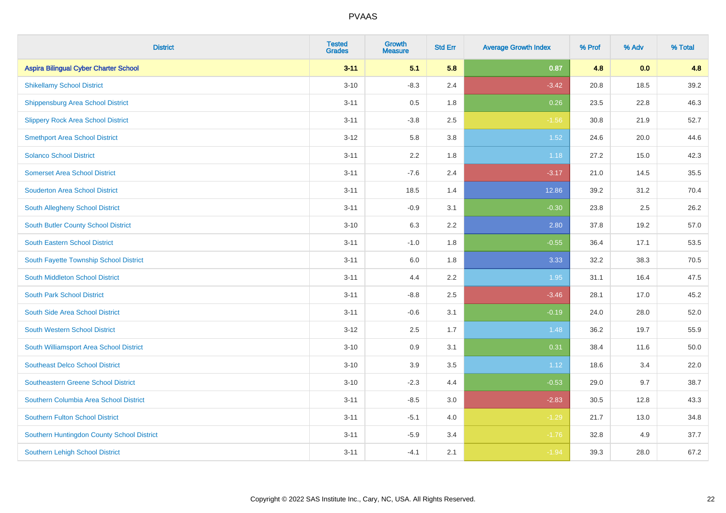| <b>District</b>                              | <b>Tested</b><br><b>Grades</b> | <b>Growth</b><br><b>Measure</b> | <b>Std Err</b> | <b>Average Growth Index</b> | % Prof | % Adv | % Total |
|----------------------------------------------|--------------------------------|---------------------------------|----------------|-----------------------------|--------|-------|---------|
| <b>Aspira Bilingual Cyber Charter School</b> | $3 - 11$                       | 5.1                             | 5.8            | 0.87                        | 4.8    | 0.0   | 4.8     |
| <b>Shikellamy School District</b>            | $3 - 10$                       | $-8.3$                          | 2.4            | $-3.42$                     | 20.8   | 18.5  | 39.2    |
| <b>Shippensburg Area School District</b>     | $3 - 11$                       | 0.5                             | 1.8            | 0.26                        | 23.5   | 22.8  | 46.3    |
| <b>Slippery Rock Area School District</b>    | $3 - 11$                       | $-3.8$                          | 2.5            | $-1.56$                     | 30.8   | 21.9  | 52.7    |
| <b>Smethport Area School District</b>        | $3 - 12$                       | 5.8                             | 3.8            | 1.52                        | 24.6   | 20.0  | 44.6    |
| <b>Solanco School District</b>               | $3 - 11$                       | 2.2                             | 1.8            | 1.18                        | 27.2   | 15.0  | 42.3    |
| <b>Somerset Area School District</b>         | $3 - 11$                       | $-7.6$                          | 2.4            | $-3.17$                     | 21.0   | 14.5  | 35.5    |
| <b>Souderton Area School District</b>        | $3 - 11$                       | 18.5                            | 1.4            | 12.86                       | 39.2   | 31.2  | 70.4    |
| <b>South Allegheny School District</b>       | $3 - 11$                       | $-0.9$                          | 3.1            | $-0.30$                     | 23.8   | 2.5   | 26.2    |
| <b>South Butler County School District</b>   | $3 - 10$                       | 6.3                             | 2.2            | 2.80                        | 37.8   | 19.2  | 57.0    |
| South Eastern School District                | $3 - 11$                       | $-1.0$                          | 1.8            | $-0.55$                     | 36.4   | 17.1  | 53.5    |
| South Fayette Township School District       | $3 - 11$                       | 6.0                             | 1.8            | 3.33                        | 32.2   | 38.3  | 70.5    |
| South Middleton School District              | $3 - 11$                       | 4.4                             | 2.2            | 1.95                        | 31.1   | 16.4  | 47.5    |
| <b>South Park School District</b>            | $3 - 11$                       | $-8.8$                          | 2.5            | $-3.46$                     | 28.1   | 17.0  | 45.2    |
| South Side Area School District              | $3 - 11$                       | $-0.6$                          | 3.1            | $-0.19$                     | 24.0   | 28.0  | 52.0    |
| South Western School District                | $3 - 12$                       | 2.5                             | 1.7            | 1.48                        | 36.2   | 19.7  | 55.9    |
| South Williamsport Area School District      | $3 - 10$                       | $0.9\,$                         | 3.1            | 0.31                        | 38.4   | 11.6  | 50.0    |
| <b>Southeast Delco School District</b>       | $3 - 10$                       | 3.9                             | 3.5            | 1.12                        | 18.6   | 3.4   | 22.0    |
| <b>Southeastern Greene School District</b>   | $3 - 10$                       | $-2.3$                          | 4.4            | $-0.53$                     | 29.0   | 9.7   | 38.7    |
| Southern Columbia Area School District       | $3 - 11$                       | $-8.5$                          | 3.0            | $-2.83$                     | 30.5   | 12.8  | 43.3    |
| <b>Southern Fulton School District</b>       | $3 - 11$                       | $-5.1$                          | 4.0            | $-1.29$                     | 21.7   | 13.0  | 34.8    |
| Southern Huntingdon County School District   | $3 - 11$                       | $-5.9$                          | 3.4            | $-1.76$                     | 32.8   | 4.9   | 37.7    |
| <b>Southern Lehigh School District</b>       | $3 - 11$                       | $-4.1$                          | 2.1            | $-1.94$                     | 39.3   | 28.0  | 67.2    |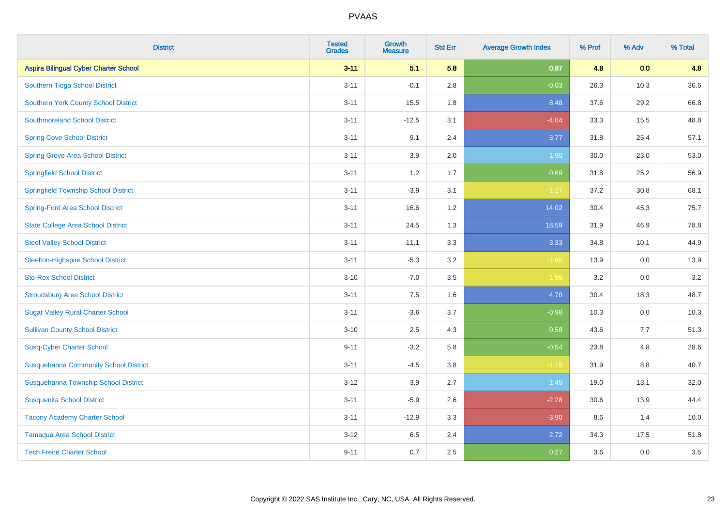| <b>District</b>                              | <b>Tested</b><br><b>Grades</b> | <b>Growth</b><br><b>Measure</b> | <b>Std Err</b> | <b>Average Growth Index</b> | % Prof | % Adv   | % Total |
|----------------------------------------------|--------------------------------|---------------------------------|----------------|-----------------------------|--------|---------|---------|
| <b>Aspira Bilingual Cyber Charter School</b> | $3 - 11$                       | 5.1                             | 5.8            | 0.87                        | 4.8    | 0.0     | 4.8     |
| Southern Tioga School District               | $3 - 11$                       | $-0.1$                          | 2.8            | $-0.03$                     | 26.3   | 10.3    | 36.6    |
| <b>Southern York County School District</b>  | $3 - 11$                       | 15.5                            | 1.8            | 8.48                        | 37.6   | 29.2    | 66.8    |
| <b>Southmoreland School District</b>         | $3 - 11$                       | $-12.5$                         | 3.1            | $-4.04$                     | 33.3   | 15.5    | 48.8    |
| <b>Spring Cove School District</b>           | $3 - 11$                       | 9.1                             | 2.4            | 3.77                        | 31.8   | 25.4    | 57.1    |
| <b>Spring Grove Area School District</b>     | $3 - 11$                       | 3.9                             | 2.0            | 1.90                        | 30.0   | 23.0    | 53.0    |
| <b>Springfield School District</b>           | $3 - 11$                       | 1.2                             | 1.7            | 0.69                        | 31.8   | 25.2    | 56.9    |
| <b>Springfield Township School District</b>  | $3 - 11$                       | $-3.9$                          | 3.1            | $-1.27$                     | 37.2   | 30.8    | 68.1    |
| <b>Spring-Ford Area School District</b>      | $3 - 11$                       | 16.6                            | 1.2            | 14.02                       | 30.4   | 45.3    | 75.7    |
| <b>State College Area School District</b>    | $3 - 11$                       | 24.5                            | 1.3            | 18.59                       | 31.9   | 46.9    | 78.8    |
| <b>Steel Valley School District</b>          | $3 - 11$                       | 11.1                            | 3.3            | 3.33                        | 34.8   | 10.1    | 44.9    |
| <b>Steelton-Highspire School District</b>    | $3 - 11$                       | $-5.3$                          | 3.2            | $-1.65$                     | 13.9   | 0.0     | 13.9    |
| <b>Sto-Rox School District</b>               | $3 - 10$                       | $-7.0$                          | 3.5            | $-1.99$                     | 3.2    | $0.0\,$ | 3.2     |
| <b>Stroudsburg Area School District</b>      | $3 - 11$                       | 7.5                             | 1.6            | 4.70                        | 30.4   | 18.3    | 48.7    |
| <b>Sugar Valley Rural Charter School</b>     | $3 - 11$                       | $-3.6$                          | 3.7            | $-0.98$                     | 10.3   | 0.0     | 10.3    |
| <b>Sullivan County School District</b>       | $3 - 10$                       | 2.5                             | 4.3            | 0.58                        | 43.6   | 7.7     | 51.3    |
| <b>Susq-Cyber Charter School</b>             | $9 - 11$                       | $-3.2$                          | 5.8            | $-0.54$                     | 23.8   | 4.8     | 28.6    |
| <b>Susquehanna Community School District</b> | $3 - 11$                       | $-4.5$                          | 3.8            | $-1.19$                     | 31.9   | 8.8     | 40.7    |
| Susquehanna Township School District         | $3 - 12$                       | 3.9                             | 2.7            | 1.45                        | 19.0   | 13.1    | 32.0    |
| <b>Susquenita School District</b>            | $3 - 11$                       | $-5.9$                          | 2.6            | $-2.28$                     | 30.6   | 13.9    | 44.4    |
| <b>Tacony Academy Charter School</b>         | $3 - 11$                       | $-12.9$                         | 3.3            | $-3.90$                     | 8.6    | 1.4     | 10.0    |
| <b>Tamaqua Area School District</b>          | $3 - 12$                       | 6.5                             | 2.4            | 2.72                        | 34.3   | 17.5    | 51.8    |
| <b>Tech Freire Charter School</b>            | $9 - 11$                       | 0.7                             | 2.5            | 0.27                        | 3.6    | 0.0     | 3.6     |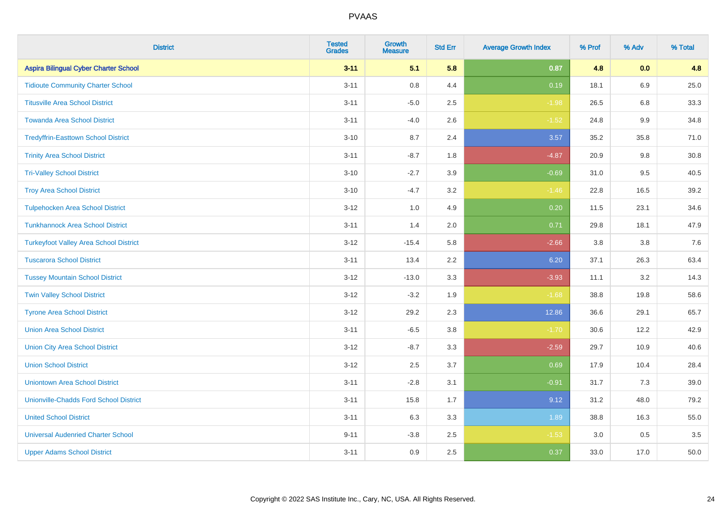| <b>District</b>                               | <b>Tested</b><br><b>Grades</b> | Growth<br><b>Measure</b> | <b>Std Err</b> | <b>Average Growth Index</b> | % Prof | % Adv   | % Total |
|-----------------------------------------------|--------------------------------|--------------------------|----------------|-----------------------------|--------|---------|---------|
| <b>Aspira Bilingual Cyber Charter School</b>  | $3 - 11$                       | 5.1                      | 5.8            | 0.87                        | 4.8    | 0.0     | 4.8     |
| <b>Tidioute Community Charter School</b>      | $3 - 11$                       | 0.8                      | 4.4            | 0.19                        | 18.1   | 6.9     | 25.0    |
| <b>Titusville Area School District</b>        | $3 - 11$                       | $-5.0$                   | 2.5            | $-1.98$                     | 26.5   | 6.8     | 33.3    |
| <b>Towanda Area School District</b>           | $3 - 11$                       | $-4.0$                   | 2.6            | $-1.52$                     | 24.8   | 9.9     | 34.8    |
| <b>Tredyffrin-Easttown School District</b>    | $3 - 10$                       | 8.7                      | 2.4            | 3.57                        | 35.2   | 35.8    | 71.0    |
| <b>Trinity Area School District</b>           | $3 - 11$                       | $-8.7$                   | 1.8            | $-4.87$                     | 20.9   | $9.8\,$ | 30.8    |
| <b>Tri-Valley School District</b>             | $3 - 10$                       | $-2.7$                   | 3.9            | $-0.69$                     | 31.0   | 9.5     | 40.5    |
| <b>Troy Area School District</b>              | $3 - 10$                       | $-4.7$                   | 3.2            | $-1.46$                     | 22.8   | 16.5    | 39.2    |
| <b>Tulpehocken Area School District</b>       | $3 - 12$                       | 1.0                      | 4.9            | 0.20                        | 11.5   | 23.1    | 34.6    |
| <b>Tunkhannock Area School District</b>       | $3 - 11$                       | 1.4                      | 2.0            | 0.71                        | 29.8   | 18.1    | 47.9    |
| <b>Turkeyfoot Valley Area School District</b> | $3 - 12$                       | $-15.4$                  | 5.8            | $-2.66$                     | 3.8    | 3.8     | 7.6     |
| <b>Tuscarora School District</b>              | $3 - 11$                       | 13.4                     | 2.2            | 6.20                        | 37.1   | 26.3    | 63.4    |
| <b>Tussey Mountain School District</b>        | $3 - 12$                       | $-13.0$                  | 3.3            | $-3.93$                     | 11.1   | $3.2\,$ | 14.3    |
| <b>Twin Valley School District</b>            | $3 - 12$                       | $-3.2$                   | 1.9            | $-1.68$                     | 38.8   | 19.8    | 58.6    |
| <b>Tyrone Area School District</b>            | $3 - 12$                       | 29.2                     | 2.3            | 12.86                       | 36.6   | 29.1    | 65.7    |
| <b>Union Area School District</b>             | $3 - 11$                       | $-6.5$                   | 3.8            | $-1.70$                     | 30.6   | 12.2    | 42.9    |
| <b>Union City Area School District</b>        | $3 - 12$                       | $-8.7$                   | 3.3            | $-2.59$                     | 29.7   | 10.9    | 40.6    |
| <b>Union School District</b>                  | $3 - 12$                       | 2.5                      | 3.7            | 0.69                        | 17.9   | 10.4    | 28.4    |
| <b>Uniontown Area School District</b>         | $3 - 11$                       | $-2.8$                   | 3.1            | $-0.91$                     | 31.7   | 7.3     | 39.0    |
| <b>Unionville-Chadds Ford School District</b> | $3 - 11$                       | 15.8                     | 1.7            | 9.12                        | 31.2   | 48.0    | 79.2    |
| <b>United School District</b>                 | $3 - 11$                       | 6.3                      | 3.3            | 1.89                        | 38.8   | 16.3    | 55.0    |
| <b>Universal Audenried Charter School</b>     | $9 - 11$                       | $-3.8$                   | 2.5            | $-1.53$                     | 3.0    | 0.5     | 3.5     |
| <b>Upper Adams School District</b>            | $3 - 11$                       | 0.9                      | 2.5            | 0.37                        | 33.0   | 17.0    | 50.0    |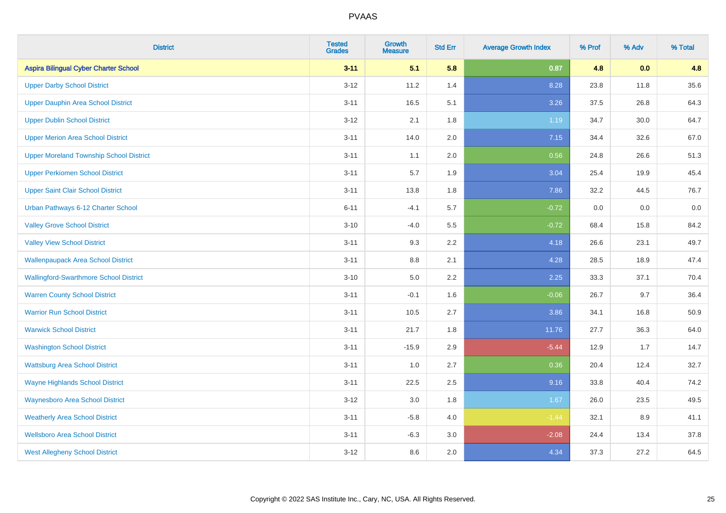| <b>District</b>                                | <b>Tested</b><br><b>Grades</b> | Growth<br><b>Measure</b> | <b>Std Err</b> | <b>Average Growth Index</b> | % Prof | % Adv | % Total |
|------------------------------------------------|--------------------------------|--------------------------|----------------|-----------------------------|--------|-------|---------|
| <b>Aspira Bilingual Cyber Charter School</b>   | $3 - 11$                       | 5.1                      | 5.8            | 0.87                        | 4.8    | 0.0   | 4.8     |
| <b>Upper Darby School District</b>             | $3 - 12$                       | 11.2                     | 1.4            | 8.28                        | 23.8   | 11.8  | 35.6    |
| <b>Upper Dauphin Area School District</b>      | $3 - 11$                       | 16.5                     | 5.1            | 3.26                        | 37.5   | 26.8  | 64.3    |
| <b>Upper Dublin School District</b>            | $3 - 12$                       | 2.1                      | 1.8            | 1.19                        | 34.7   | 30.0  | 64.7    |
| <b>Upper Merion Area School District</b>       | $3 - 11$                       | 14.0                     | 2.0            | 7.15                        | 34.4   | 32.6  | 67.0    |
| <b>Upper Moreland Township School District</b> | $3 - 11$                       | 1.1                      | 2.0            | 0.56                        | 24.8   | 26.6  | 51.3    |
| <b>Upper Perkiomen School District</b>         | $3 - 11$                       | 5.7                      | 1.9            | 3.04                        | 25.4   | 19.9  | 45.4    |
| <b>Upper Saint Clair School District</b>       | $3 - 11$                       | 13.8                     | 1.8            | 7.86                        | 32.2   | 44.5  | 76.7    |
| Urban Pathways 6-12 Charter School             | $6 - 11$                       | $-4.1$                   | 5.7            | $-0.72$                     | 0.0    | 0.0   | $0.0\,$ |
| <b>Valley Grove School District</b>            | $3 - 10$                       | $-4.0$                   | 5.5            | $-0.72$                     | 68.4   | 15.8  | 84.2    |
| <b>Valley View School District</b>             | $3 - 11$                       | 9.3                      | 2.2            | 4.18                        | 26.6   | 23.1  | 49.7    |
| <b>Wallenpaupack Area School District</b>      | $3 - 11$                       | 8.8                      | 2.1            | 4.28                        | 28.5   | 18.9  | 47.4    |
| <b>Wallingford-Swarthmore School District</b>  | $3 - 10$                       | $5.0\,$                  | 2.2            | 2.25                        | 33.3   | 37.1  | 70.4    |
| <b>Warren County School District</b>           | $3 - 11$                       | $-0.1$                   | 1.6            | $-0.06$                     | 26.7   | 9.7   | 36.4    |
| <b>Warrior Run School District</b>             | $3 - 11$                       | 10.5                     | 2.7            | 3.86                        | 34.1   | 16.8  | 50.9    |
| <b>Warwick School District</b>                 | $3 - 11$                       | 21.7                     | 1.8            | 11.76                       | 27.7   | 36.3  | 64.0    |
| <b>Washington School District</b>              | $3 - 11$                       | $-15.9$                  | 2.9            | $-5.44$                     | 12.9   | 1.7   | 14.7    |
| <b>Wattsburg Area School District</b>          | $3 - 11$                       | 1.0                      | 2.7            | 0.36                        | 20.4   | 12.4  | 32.7    |
| <b>Wayne Highlands School District</b>         | $3 - 11$                       | 22.5                     | 2.5            | 9.16                        | 33.8   | 40.4  | 74.2    |
| <b>Waynesboro Area School District</b>         | $3 - 12$                       | 3.0                      | 1.8            | 1.67                        | 26.0   | 23.5  | 49.5    |
| <b>Weatherly Area School District</b>          | $3 - 11$                       | $-5.8$                   | 4.0            | $-1.44$                     | 32.1   | 8.9   | 41.1    |
| <b>Wellsboro Area School District</b>          | $3 - 11$                       | $-6.3$                   | 3.0            | $-2.08$                     | 24.4   | 13.4  | 37.8    |
| <b>West Allegheny School District</b>          | $3 - 12$                       | 8.6                      | 2.0            | 4.34                        | 37.3   | 27.2  | 64.5    |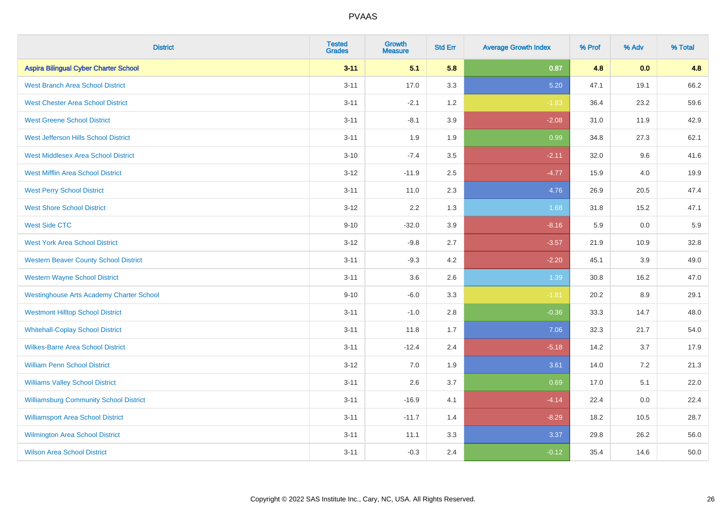| <b>District</b>                                 | <b>Tested</b><br><b>Grades</b> | <b>Growth</b><br><b>Measure</b> | <b>Std Err</b> | <b>Average Growth Index</b> | % Prof | % Adv | % Total |
|-------------------------------------------------|--------------------------------|---------------------------------|----------------|-----------------------------|--------|-------|---------|
| <b>Aspira Bilingual Cyber Charter School</b>    | $3 - 11$                       | 5.1                             | 5.8            | 0.87                        | 4.8    | 0.0   | 4.8     |
| <b>West Branch Area School District</b>         | $3 - 11$                       | 17.0                            | 3.3            | 5.20                        | 47.1   | 19.1  | 66.2    |
| <b>West Chester Area School District</b>        | $3 - 11$                       | $-2.1$                          | 1.2            | $-1.83$                     | 36.4   | 23.2  | 59.6    |
| <b>West Greene School District</b>              | $3 - 11$                       | $-8.1$                          | 3.9            | $-2.08$                     | 31.0   | 11.9  | 42.9    |
| West Jefferson Hills School District            | $3 - 11$                       | 1.9                             | 1.9            | 0.99                        | 34.8   | 27.3  | 62.1    |
| <b>West Middlesex Area School District</b>      | $3 - 10$                       | $-7.4$                          | 3.5            | $-2.11$                     | 32.0   | 9.6   | 41.6    |
| <b>West Mifflin Area School District</b>        | $3 - 12$                       | $-11.9$                         | 2.5            | $-4.77$                     | 15.9   | 4.0   | 19.9    |
| <b>West Perry School District</b>               | $3 - 11$                       | 11.0                            | 2.3            | 4.76                        | 26.9   | 20.5  | 47.4    |
| <b>West Shore School District</b>               | $3 - 12$                       | 2.2                             | 1.3            | 1.68                        | 31.8   | 15.2  | 47.1    |
| <b>West Side CTC</b>                            | $9 - 10$                       | $-32.0$                         | 3.9            | $-8.16$                     | 5.9    | 0.0   | 5.9     |
| <b>West York Area School District</b>           | $3 - 12$                       | $-9.8$                          | 2.7            | $-3.57$                     | 21.9   | 10.9  | 32.8    |
| <b>Western Beaver County School District</b>    | $3 - 11$                       | $-9.3$                          | 4.2            | $-2.20$                     | 45.1   | 3.9   | 49.0    |
| <b>Western Wayne School District</b>            | $3 - 11$                       | 3.6                             | 2.6            | 1.39                        | 30.8   | 16.2  | 47.0    |
| <b>Westinghouse Arts Academy Charter School</b> | $9 - 10$                       | $-6.0$                          | 3.3            | $-1.81$                     | 20.2   | 8.9   | 29.1    |
| <b>Westmont Hilltop School District</b>         | $3 - 11$                       | $-1.0$                          | 2.8            | $-0.36$                     | 33.3   | 14.7  | 48.0    |
| <b>Whitehall-Coplay School District</b>         | $3 - 11$                       | 11.8                            | 1.7            | 7.06                        | 32.3   | 21.7  | 54.0    |
| <b>Wilkes-Barre Area School District</b>        | $3 - 11$                       | $-12.4$                         | 2.4            | $-5.18$                     | 14.2   | 3.7   | 17.9    |
| <b>William Penn School District</b>             | $3 - 12$                       | 7.0                             | 1.9            | 3.61                        | 14.0   | 7.2   | 21.3    |
| <b>Williams Valley School District</b>          | $3 - 11$                       | 2.6                             | 3.7            | 0.69                        | 17.0   | 5.1   | 22.0    |
| <b>Williamsburg Community School District</b>   | $3 - 11$                       | $-16.9$                         | 4.1            | $-4.14$                     | 22.4   | 0.0   | 22.4    |
| <b>Williamsport Area School District</b>        | $3 - 11$                       | $-11.7$                         | 1.4            | $-8.29$                     | 18.2   | 10.5  | 28.7    |
| Wilmington Area School District                 | $3 - 11$                       | 11.1                            | 3.3            | 3.37                        | 29.8   | 26.2  | 56.0    |
| <b>Wilson Area School District</b>              | $3 - 11$                       | $-0.3$                          | 2.4            | $-0.12$                     | 35.4   | 14.6  | 50.0    |